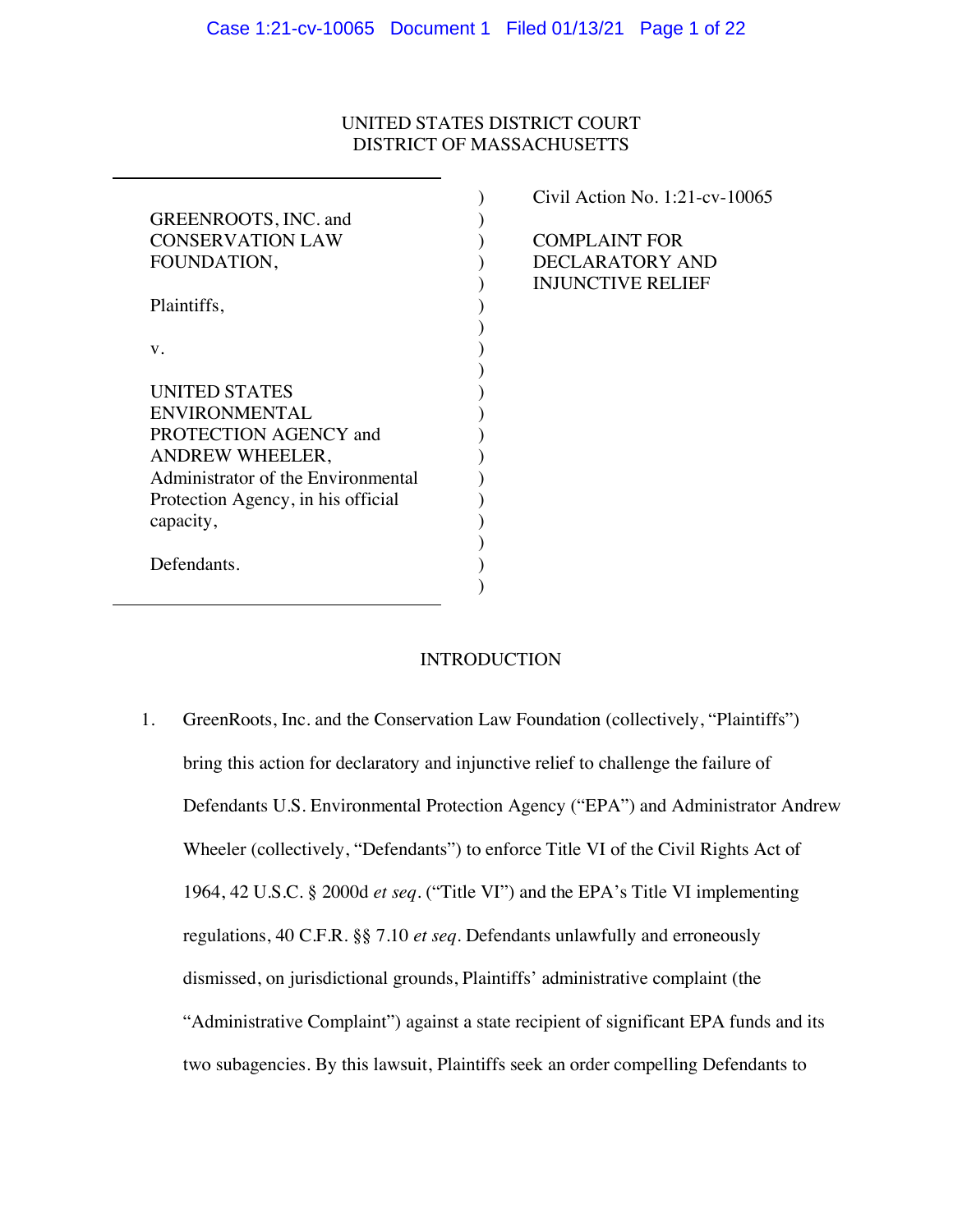## UNITED STATES DISTRICT COURT DISTRICT OF MASSACHUSETTS

|                                    | Civil Action No. 1    |
|------------------------------------|-----------------------|
| GREENROOTS, INC. and               |                       |
| <b>CONSERVATION LAW</b>            | <b>COMPLAINT FOI</b>  |
| FOUNDATION,                        | <b>DECLARATORY</b>    |
|                                    | <b>INJUNCTIVE REI</b> |
| Plaintiffs,                        |                       |
|                                    |                       |
| V.                                 |                       |
|                                    |                       |
| <b>UNITED STATES</b>               |                       |
| <b>ENVIRONMENTAL</b>               |                       |
| PROTECTION AGENCY and              |                       |
| ANDREW WHEELER,                    |                       |
| Administrator of the Environmental |                       |
| Protection Agency, in his official |                       |
| capacity,                          |                       |
|                                    |                       |
| Defendants.                        |                       |
|                                    |                       |
|                                    |                       |

 $:21$ -cv-10065 COMPLAINT FOR AND LIEF

# **INTRODUCTION**

1. GreenRoots, Inc. and the Conservation Law Foundation (collectively, "Plaintiffs") bring this action for declaratory and injunctive relief to challenge the failure of Defendants U.S. Environmental Protection Agency ("EPA") and Administrator Andrew Wheeler (collectively, "Defendants") to enforce Title VI of the Civil Rights Act of 1964, 42 U.S.C. § 2000d *et seq*. ("Title VI") and the EPA's Title VI implementing regulations, 40 C.F.R. §§ 7.10 *et seq*. Defendants unlawfully and erroneously dismissed, on jurisdictional grounds, Plaintiffs' administrative complaint (the "Administrative Complaint") against a state recipient of significant EPA funds and its two subagencies. By this lawsuit, Plaintiffs seek an order compelling Defendants to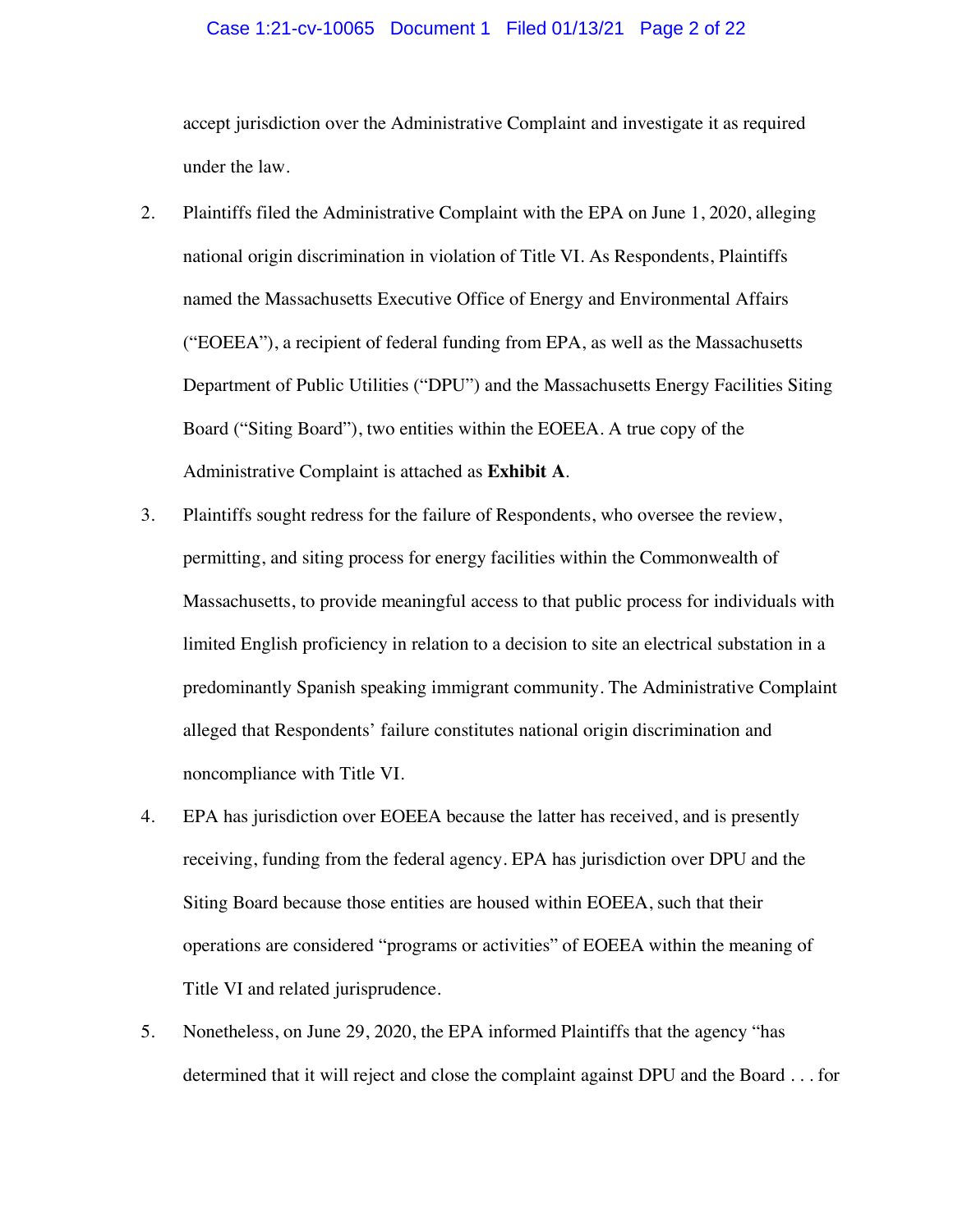#### Case 1:21-cv-10065 Document 1 Filed 01/13/21 Page 2 of 22

accept jurisdiction over the Administrative Complaint and investigate it as required under the law.

- 2. Plaintiffs filed the Administrative Complaint with the EPA on June 1, 2020, alleging national origin discrimination in violation of Title VI. As Respondents, Plaintiffs named the Massachusetts Executive Office of Energy and Environmental Affairs ("EOEEA"), a recipient of federal funding from EPA, as well as the Massachusetts Department of Public Utilities ("DPU") and the Massachusetts Energy Facilities Siting Board ("Siting Board"), two entities within the EOEEA. A true copy of the Administrative Complaint is attached as **Exhibit A**.
- 3. Plaintiffs sought redress for the failure of Respondents, who oversee the review, permitting, and siting process for energy facilities within the Commonwealth of Massachusetts, to provide meaningful access to that public process for individuals with limited English proficiency in relation to a decision to site an electrical substation in a predominantly Spanish speaking immigrant community. The Administrative Complaint alleged that Respondents' failure constitutes national origin discrimination and noncompliance with Title VI.
- 4. EPA has jurisdiction over EOEEA because the latter has received, and is presently receiving, funding from the federal agency. EPA has jurisdiction over DPU and the Siting Board because those entities are housed within EOEEA, such that their operations are considered "programs or activities" of EOEEA within the meaning of Title VI and related jurisprudence.
- 5. Nonetheless, on June 29, 2020, the EPA informed Plaintiffs that the agency "has determined that it will reject and close the complaint against DPU and the Board . . . for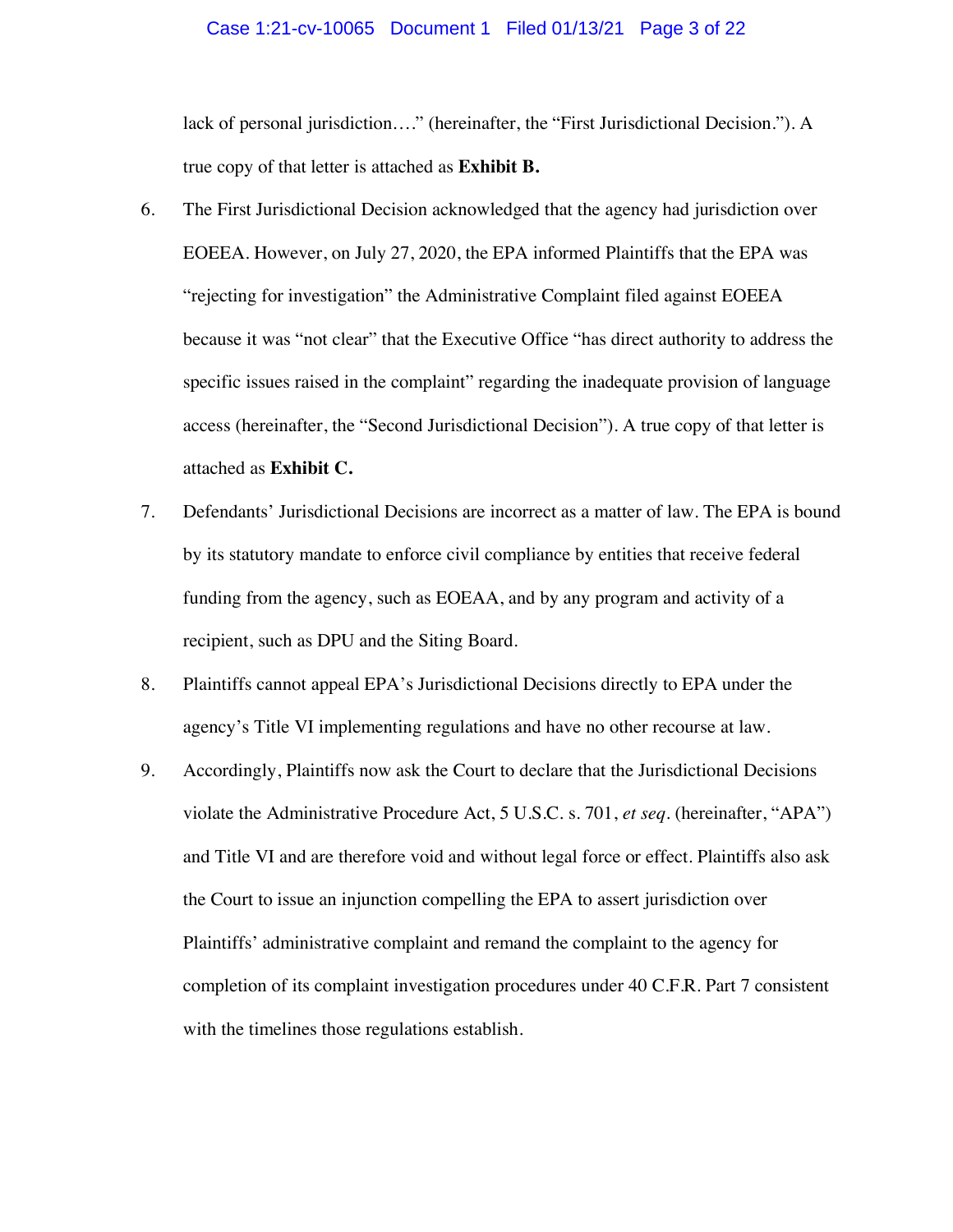#### Case 1:21-cv-10065 Document 1 Filed 01/13/21 Page 3 of 22

lack of personal jurisdiction…." (hereinafter, the "First Jurisdictional Decision."). A true copy of that letter is attached as **Exhibit B.**

- 6. The First Jurisdictional Decision acknowledged that the agency had jurisdiction over EOEEA. However, on July 27, 2020, the EPA informed Plaintiffs that the EPA was "rejecting for investigation" the Administrative Complaint filed against EOEEA because it was "not clear" that the Executive Office "has direct authority to address the specific issues raised in the complaint" regarding the inadequate provision of language access (hereinafter, the "Second Jurisdictional Decision"). A true copy of that letter is attached as **Exhibit C.**
- 7. Defendants' Jurisdictional Decisions are incorrect as a matter of law. The EPA is bound by its statutory mandate to enforce civil compliance by entities that receive federal funding from the agency, such as EOEAA, and by any program and activity of a recipient, such as DPU and the Siting Board.
- 8. Plaintiffs cannot appeal EPA's Jurisdictional Decisions directly to EPA under the agency's Title VI implementing regulations and have no other recourse at law.
- 9. Accordingly, Plaintiffs now ask the Court to declare that the Jurisdictional Decisions violate the Administrative Procedure Act, 5 U.S.C. s. 701, *et seq*. (hereinafter, "APA") and Title VI and are therefore void and without legal force or effect. Plaintiffs also ask the Court to issue an injunction compelling the EPA to assert jurisdiction over Plaintiffs' administrative complaint and remand the complaint to the agency for completion of its complaint investigation procedures under 40 C.F.R. Part 7 consistent with the timelines those regulations establish.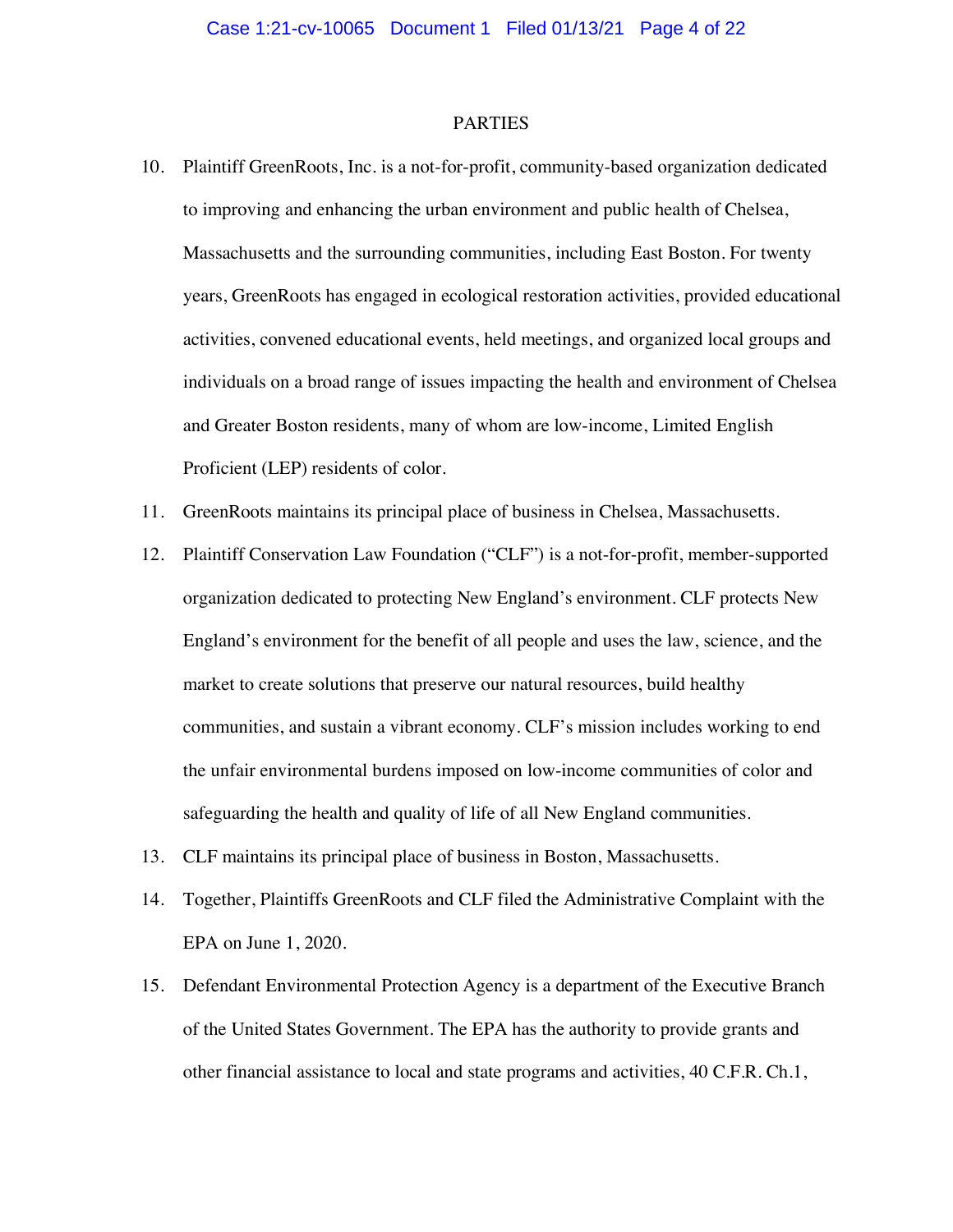#### PARTIES

- 10. Plaintiff GreenRoots, Inc. is a not-for-profit, community-based organization dedicated to improving and enhancing the urban environment and public health of Chelsea, Massachusetts and the surrounding communities, including East Boston. For twenty years, GreenRoots has engaged in ecological restoration activities, provided educational activities, convened educational events, held meetings, and organized local groups and individuals on a broad range of issues impacting the health and environment of Chelsea and Greater Boston residents, many of whom are low-income, Limited English Proficient (LEP) residents of color.
- 11. GreenRoots maintains its principal place of business in Chelsea, Massachusetts.
- 12. Plaintiff Conservation Law Foundation ("CLF") is a not-for-profit, member-supported organization dedicated to protecting New England's environment. CLF protects New England's environment for the benefit of all people and uses the law, science, and the market to create solutions that preserve our natural resources, build healthy communities, and sustain a vibrant economy. CLF's mission includes working to end the unfair environmental burdens imposed on low-income communities of color and safeguarding the health and quality of life of all New England communities.
- 13. CLF maintains its principal place of business in Boston, Massachusetts.
- 14. Together, Plaintiffs GreenRoots and CLF filed the Administrative Complaint with the EPA on June 1, 2020.
- 15. Defendant Environmental Protection Agency is a department of the Executive Branch of the United States Government. The EPA has the authority to provide grants and other financial assistance to local and state programs and activities, 40 C.F.R. Ch.1,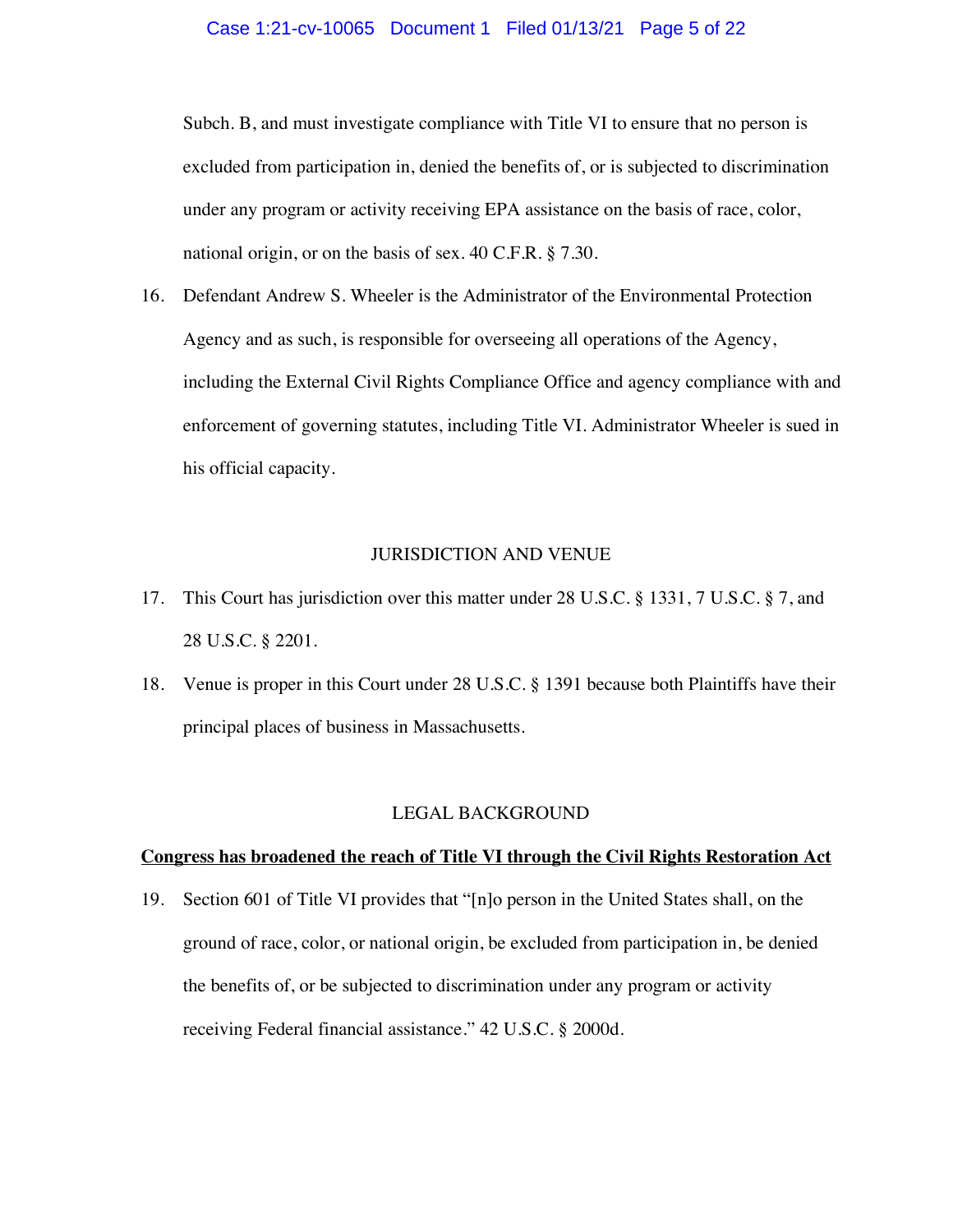#### Case 1:21-cv-10065 Document 1 Filed 01/13/21 Page 5 of 22

Subch. B, and must investigate compliance with Title VI to ensure that no person is excluded from participation in, denied the benefits of, or is subjected to discrimination under any program or activity receiving EPA assistance on the basis of race, color, national origin, or on the basis of sex. 40 C.F.R. § 7.30.

16. Defendant Andrew S. Wheeler is the Administrator of the Environmental Protection Agency and as such, is responsible for overseeing all operations of the Agency, including the External Civil Rights Compliance Office and agency compliance with and enforcement of governing statutes, including Title VI. Administrator Wheeler is sued in his official capacity.

### JURISDICTION AND VENUE

- 17. This Court has jurisdiction over this matter under 28 U.S.C. § 1331, 7 U.S.C. § 7, and 28 U.S.C. § 2201.
- 18. Venue is proper in this Court under 28 U.S.C. § 1391 because both Plaintiffs have their principal places of business in Massachusetts.

#### LEGAL BACKGROUND

#### **Congress has broadened the reach of Title VI through the Civil Rights Restoration Act**

19. Section 601 of Title VI provides that "[n]o person in the United States shall, on the ground of race, color, or national origin, be excluded from participation in, be denied the benefits of, or be subjected to discrimination under any program or activity receiving Federal financial assistance." 42 U.S.C. § 2000d.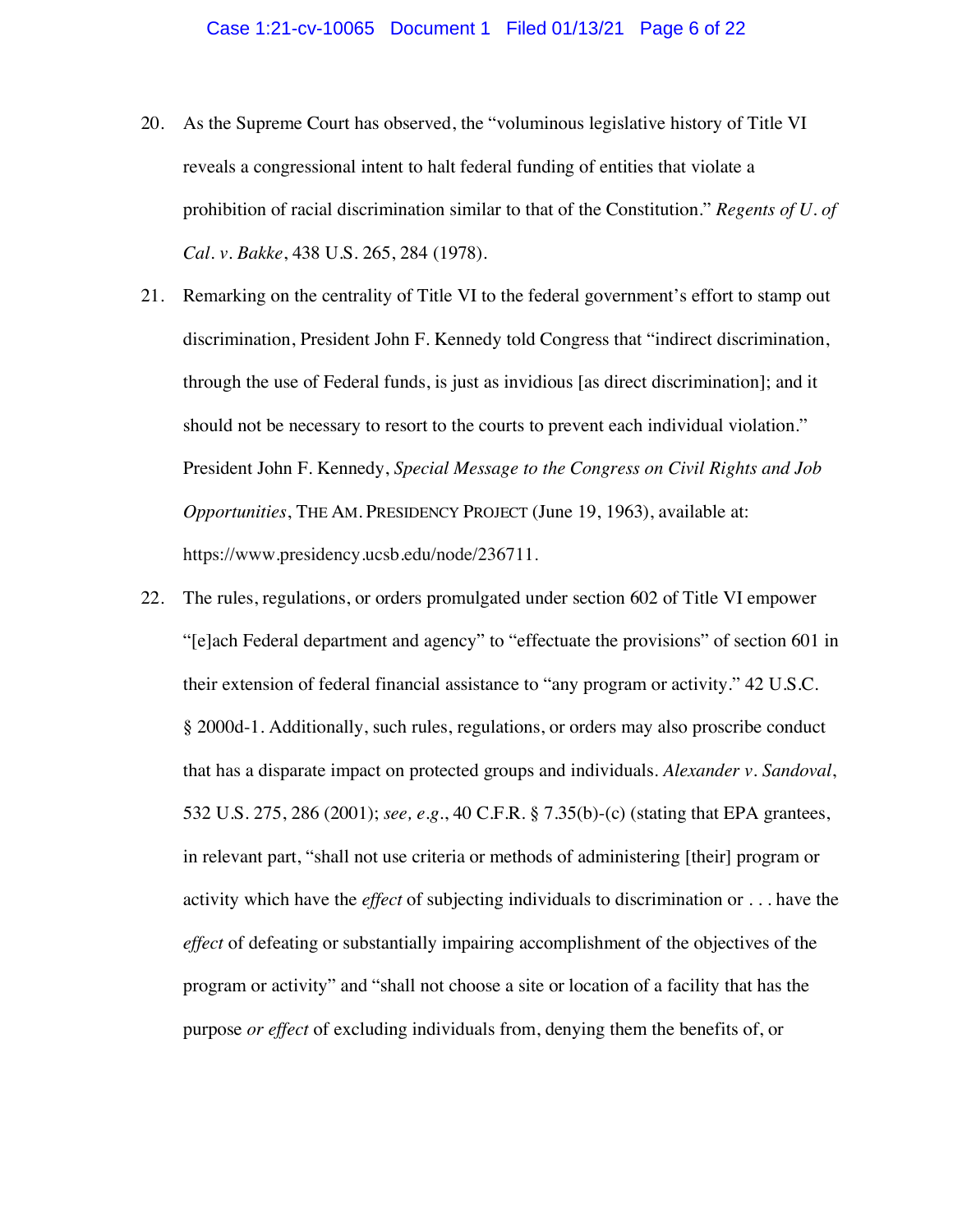- 20. As the Supreme Court has observed, the "voluminous legislative history of Title VI reveals a congressional intent to halt federal funding of entities that violate a prohibition of racial discrimination similar to that of the Constitution." *Regents of U. of Cal. v. Bakke*, 438 U.S. 265, 284 (1978).
- 21. Remarking on the centrality of Title VI to the federal government's effort to stamp out discrimination, President John F. Kennedy told Congress that "indirect discrimination, through the use of Federal funds, is just as invidious [as direct discrimination]; and it should not be necessary to resort to the courts to prevent each individual violation." President John F. Kennedy, *Special Message to the Congress on Civil Rights and Job Opportunities*, THE AM. PRESIDENCY PROJECT (June 19, 1963), available at: https://www.presidency.ucsb.edu/node/236711.
- 22. The rules, regulations, or orders promulgated under section 602 of Title VI empower "[e]ach Federal department and agency" to "effectuate the provisions" of section 601 in their extension of federal financial assistance to "any program or activity." 42 U.S.C. § 2000d-1. Additionally, such rules, regulations, or orders may also proscribe conduct that has a disparate impact on protected groups and individuals. *Alexander v. Sandoval*, 532 U.S. 275, 286 (2001); *see, e.g.*, 40 C.F.R. § 7.35(b)-(c) (stating that EPA grantees, in relevant part, "shall not use criteria or methods of administering [their] program or activity which have the *effect* of subjecting individuals to discrimination or . . . have the *effect* of defeating or substantially impairing accomplishment of the objectives of the program or activity" and "shall not choose a site or location of a facility that has the purpose *or effect* of excluding individuals from, denying them the benefits of, or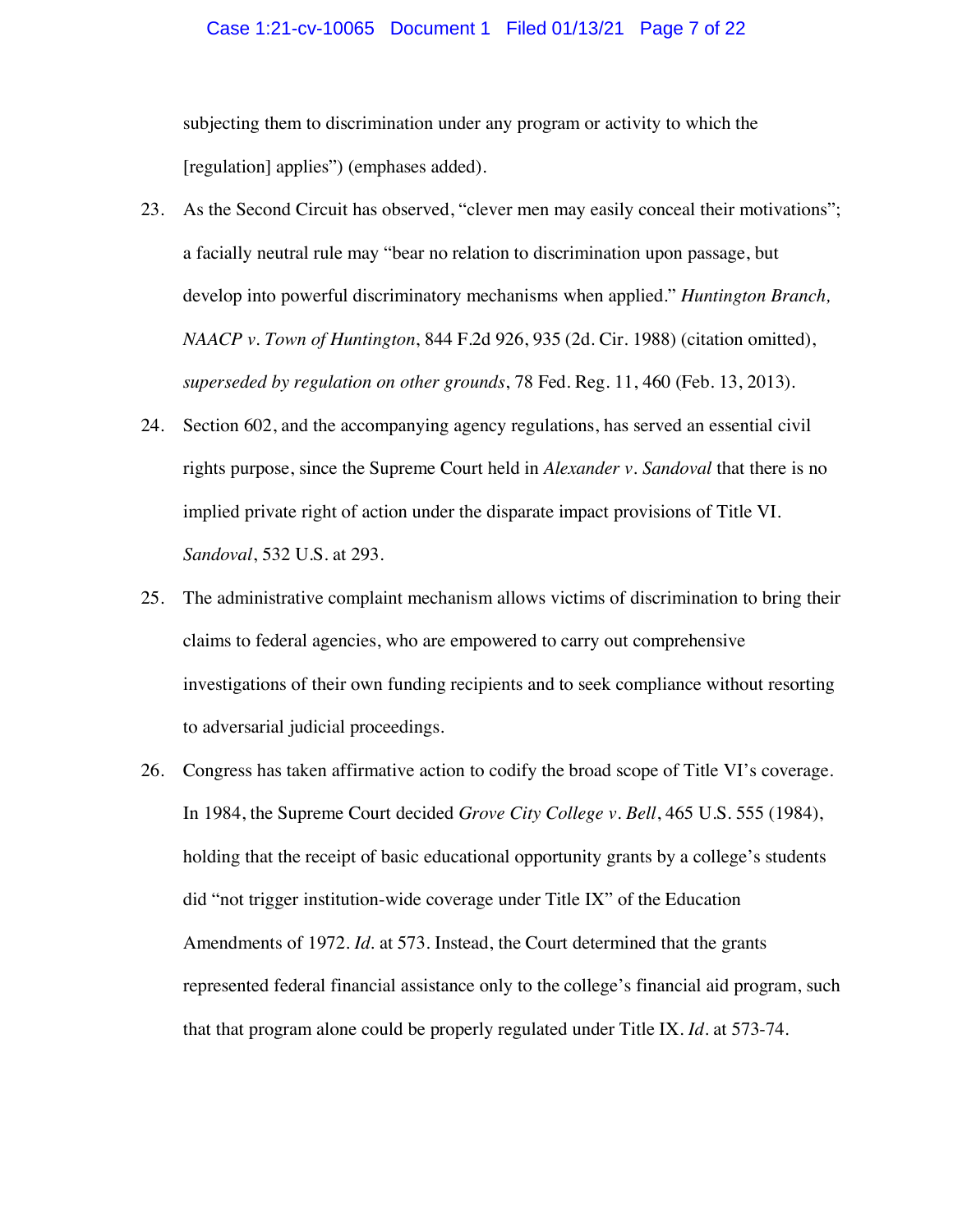#### Case 1:21-cv-10065 Document 1 Filed 01/13/21 Page 7 of 22

subjecting them to discrimination under any program or activity to which the [regulation] applies") (emphases added).

- 23. As the Second Circuit has observed, "clever men may easily conceal their motivations"; a facially neutral rule may "bear no relation to discrimination upon passage, but develop into powerful discriminatory mechanisms when applied." *Huntington Branch, NAACP v. Town of Huntington*, 844 F.2d 926, 935 (2d. Cir. 1988) (citation omitted), *superseded by regulation on other grounds*, 78 Fed. Reg. 11, 460 (Feb. 13, 2013).
- 24. Section 602, and the accompanying agency regulations, has served an essential civil rights purpose, since the Supreme Court held in *Alexander v. Sandoval* that there is no implied private right of action under the disparate impact provisions of Title VI. *Sandoval*, 532 U.S. at 293.
- 25. The administrative complaint mechanism allows victims of discrimination to bring their claims to federal agencies, who are empowered to carry out comprehensive investigations of their own funding recipients and to seek compliance without resorting to adversarial judicial proceedings.
- 26. Congress has taken affirmative action to codify the broad scope of Title VI's coverage. In 1984, the Supreme Court decided *Grove City College v. Bell*, 465 U.S. 555 (1984), holding that the receipt of basic educational opportunity grants by a college's students did "not trigger institution-wide coverage under Title IX" of the Education Amendments of 1972. *Id.* at 573. Instead, the Court determined that the grants represented federal financial assistance only to the college's financial aid program, such that that program alone could be properly regulated under Title IX. *Id*. at 573-74.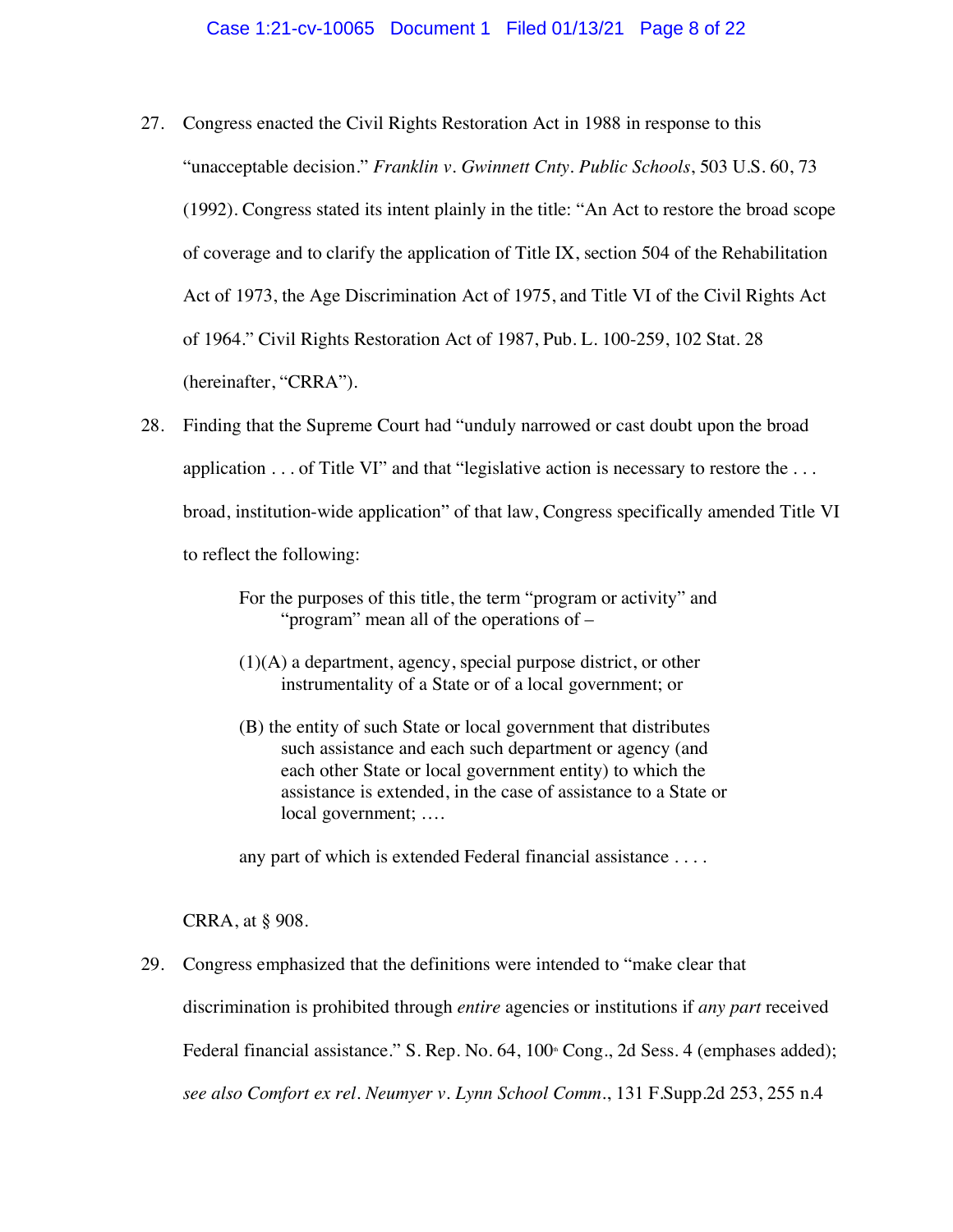- 27. Congress enacted the Civil Rights Restoration Act in 1988 in response to this "unacceptable decision." *Franklin v. Gwinnett Cnty. Public Schools*, 503 U.S. 60, 73 (1992). Congress stated its intent plainly in the title: "An Act to restore the broad scope of coverage and to clarify the application of Title IX, section 504 of the Rehabilitation Act of 1973, the Age Discrimination Act of 1975, and Title VI of the Civil Rights Act of 1964." Civil Rights Restoration Act of 1987, Pub. L. 100-259, 102 Stat. 28 (hereinafter, "CRRA").
- 28. Finding that the Supreme Court had "unduly narrowed or cast doubt upon the broad application  $\dots$  of Title VI" and that "legislative action is necessary to restore the  $\dots$ broad, institution-wide application" of that law, Congress specifically amended Title VI to reflect the following:
	- For the purposes of this title, the term "program or activity" and "program" mean all of the operations of –
	- (1)(A) a department, agency, special purpose district, or other instrumentality of a State or of a local government; or
	- (B) the entity of such State or local government that distributes such assistance and each such department or agency (and each other State or local government entity) to which the assistance is extended, in the case of assistance to a State or local government; ….

any part of which is extended Federal financial assistance . . . .

CRRA, at § 908.

29. Congress emphasized that the definitions were intended to "make clear that discrimination is prohibited through *entire* agencies or institutions if *any part* received Federal financial assistance." S. Rep. No. 64, 100<sup>th</sup> Cong., 2d Sess. 4 (emphases added); *see also Comfort ex rel. Neumyer v. Lynn School Comm.*, 131 F.Supp.2d 253, 255 n.4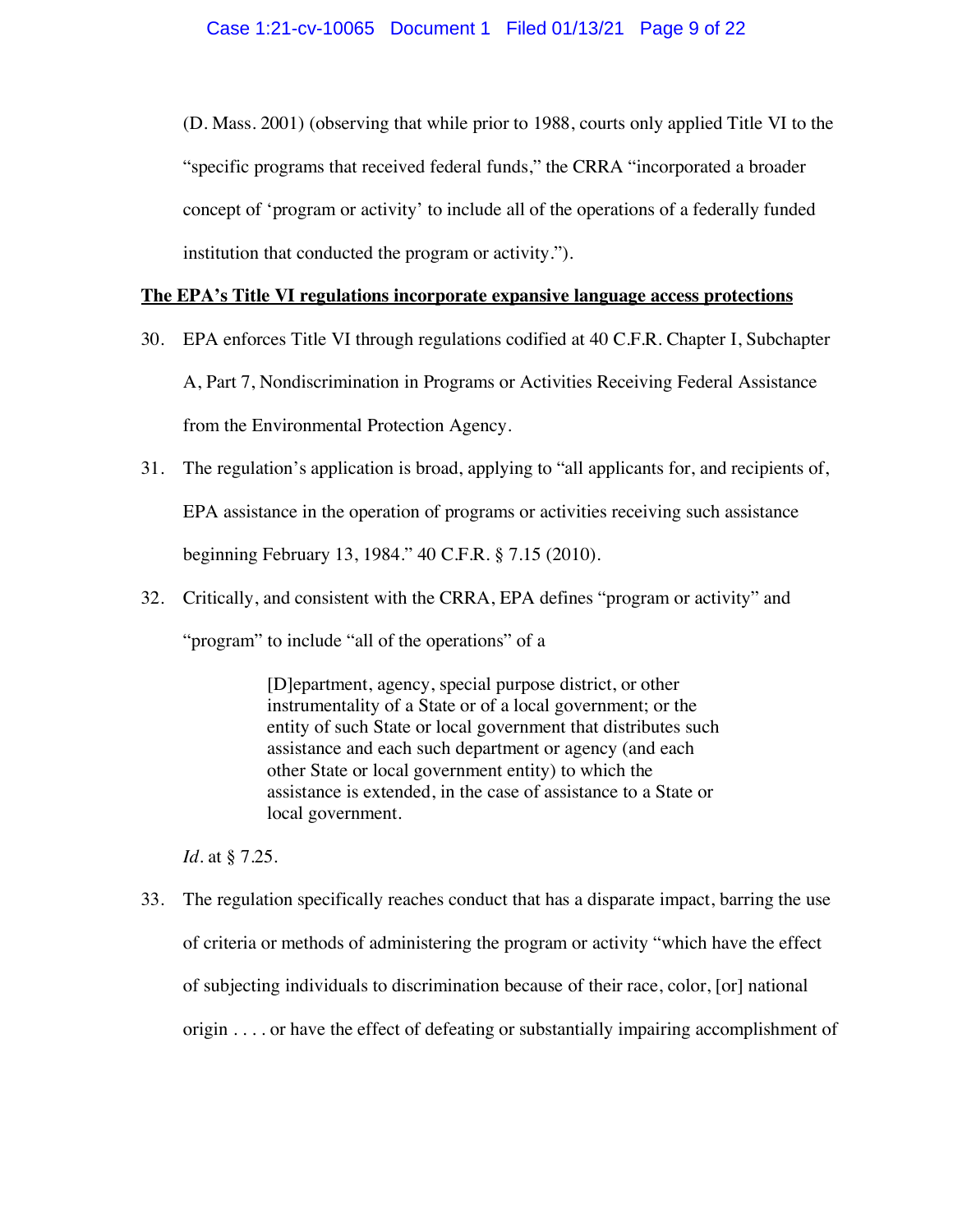(D. Mass. 2001) (observing that while prior to 1988, courts only applied Title VI to the "specific programs that received federal funds," the CRRA "incorporated a broader concept of 'program or activity' to include all of the operations of a federally funded institution that conducted the program or activity.").

### **The EPA's Title VI regulations incorporate expansive language access protections**

- 30. EPA enforces Title VI through regulations codified at 40 C.F.R. Chapter I, Subchapter A, Part 7, Nondiscrimination in Programs or Activities Receiving Federal Assistance from the Environmental Protection Agency.
- 31. The regulation's application is broad, applying to "all applicants for, and recipients of, EPA assistance in the operation of programs or activities receiving such assistance beginning February 13, 1984." 40 C.F.R. § 7.15 (2010).
- 32. Critically, and consistent with the CRRA, EPA defines "program or activity" and

"program" to include "all of the operations" of a

[D]epartment, agency, special purpose district, or other instrumentality of a State or of a local government; or the entity of such State or local government that distributes such assistance and each such department or agency (and each other State or local government entity) to which the assistance is extended, in the case of assistance to a State or local government.

*Id*. at § 7.25.

33. The regulation specifically reaches conduct that has a disparate impact, barring the use of criteria or methods of administering the program or activity "which have the effect of subjecting individuals to discrimination because of their race, color, [or] national origin . . . . or have the effect of defeating or substantially impairing accomplishment of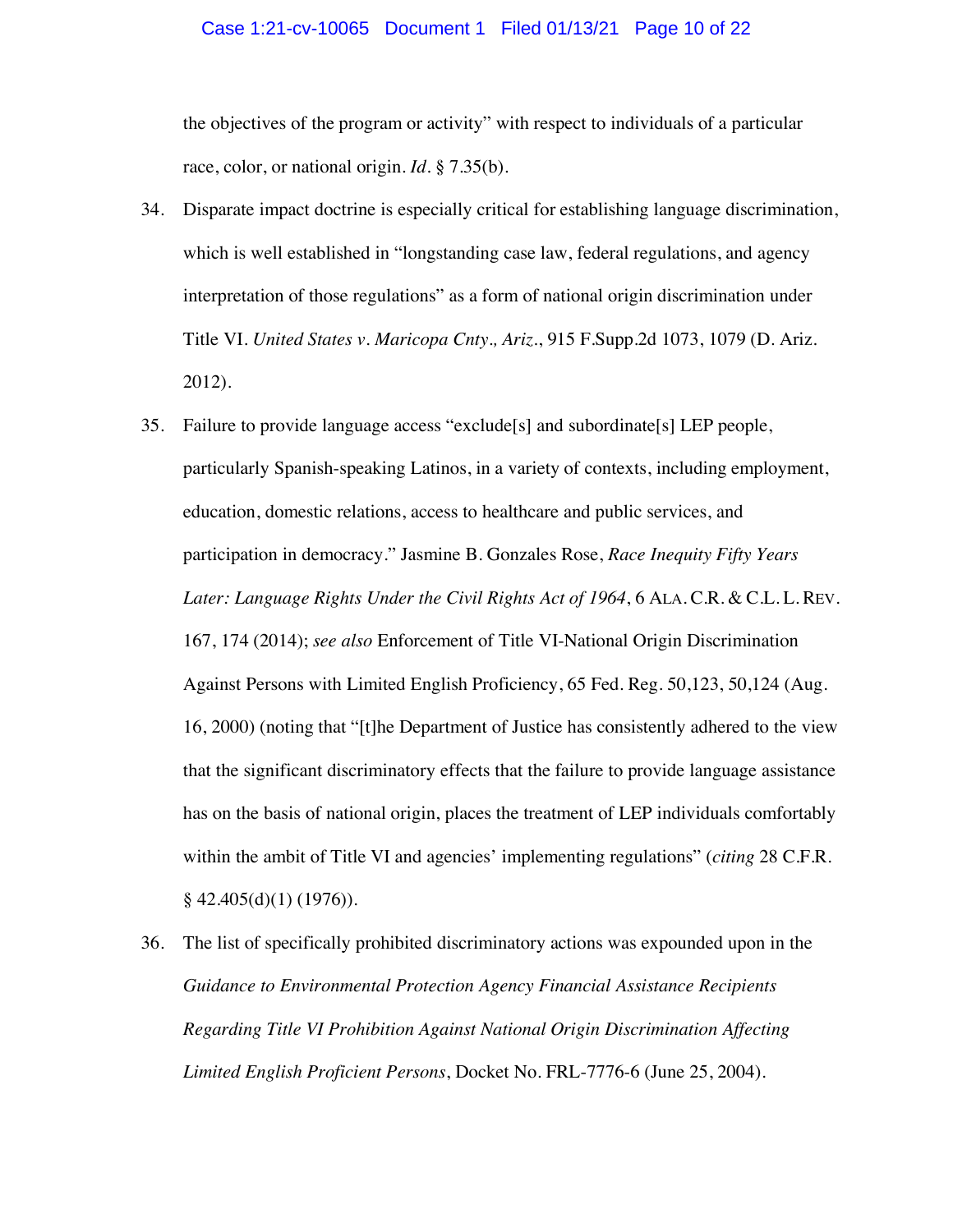#### Case 1:21-cv-10065 Document 1 Filed 01/13/21 Page 10 of 22

the objectives of the program or activity" with respect to individuals of a particular race, color, or national origin. *Id*. § 7.35(b).

- 34. Disparate impact doctrine is especially critical for establishing language discrimination, which is well established in "longstanding case law, federal regulations, and agency interpretation of those regulations" as a form of national origin discrimination under Title VI. *United States v. Maricopa Cnty., Ariz.*, 915 F.Supp.2d 1073, 1079 (D. Ariz. 2012).
- 35. Failure to provide language access "exclude[s] and subordinate[s] LEP people, particularly Spanish-speaking Latinos, in a variety of contexts, including employment, education, domestic relations, access to healthcare and public services, and participation in democracy." Jasmine B. Gonzales Rose, *Race Inequity Fifty Years Later: Language Rights Under the Civil Rights Act of 1964*, 6 ALA. C.R. & C.L. L. REV. 167, 174 (2014); *see also* Enforcement of Title VI-National Origin Discrimination Against Persons with Limited English Proficiency, 65 Fed. Reg. 50,123, 50,124 (Aug. 16, 2000) (noting that "[t]he Department of Justice has consistently adhered to the view that the significant discriminatory effects that the failure to provide language assistance has on the basis of national origin, places the treatment of LEP individuals comfortably within the ambit of Title VI and agencies' implementing regulations" (*citing* 28 C.F.R.  $§$  42.405(d)(1) (1976)).
- 36. The list of specifically prohibited discriminatory actions was expounded upon in the *Guidance to Environmental Protection Agency Financial Assistance Recipients Regarding Title VI Prohibition Against National Origin Discrimination Affecting Limited English Proficient Persons*, Docket No. FRL-7776-6 (June 25, 2004).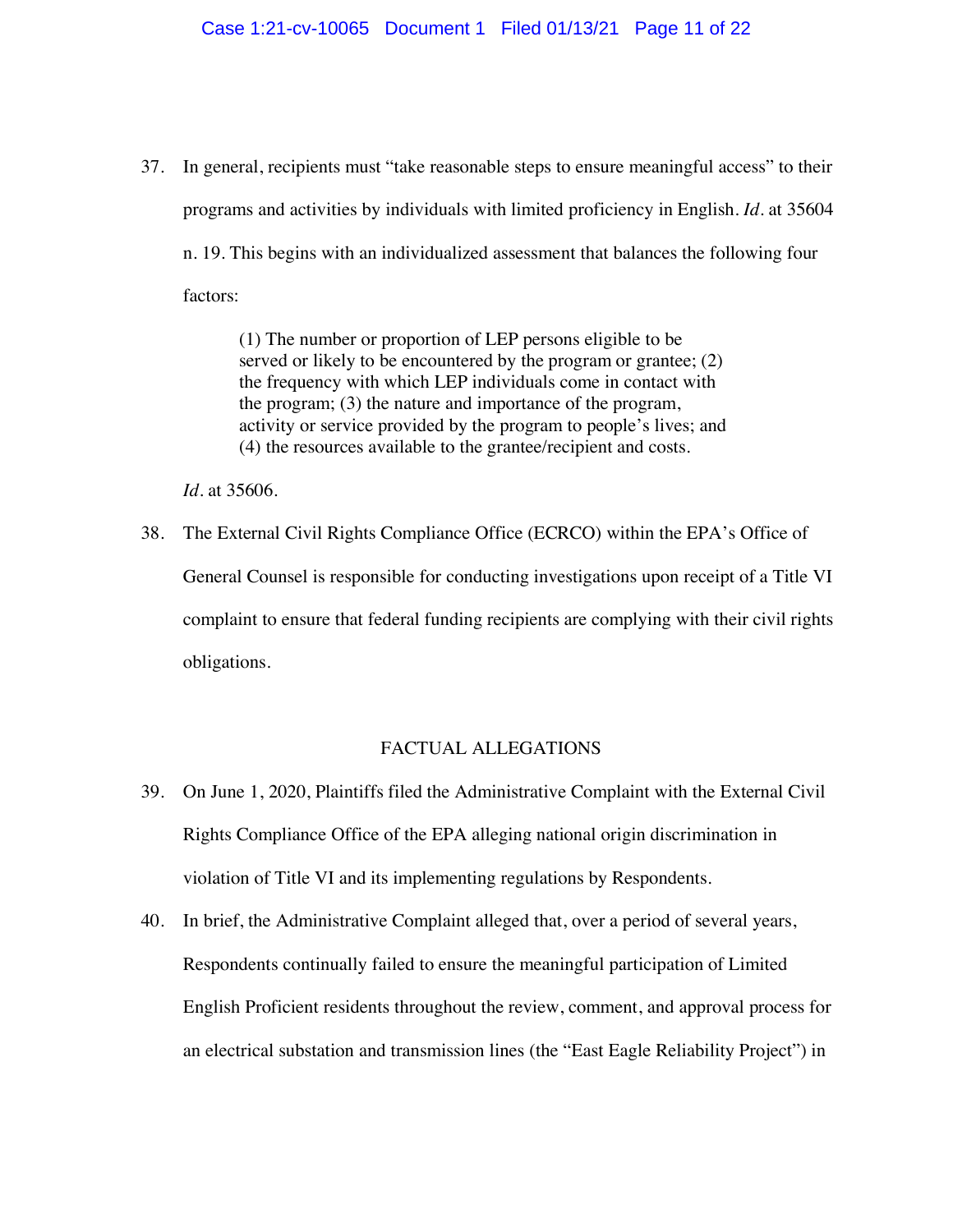37. In general, recipients must "take reasonable steps to ensure meaningful access" to their programs and activities by individuals with limited proficiency in English. *Id*. at 35604 n. 19. This begins with an individualized assessment that balances the following four factors:

> (1) The number or proportion of LEP persons eligible to be served or likely to be encountered by the program or grantee; (2) the frequency with which LEP individuals come in contact with the program; (3) the nature and importance of the program, activity or service provided by the program to people's lives; and (4) the resources available to the grantee/recipient and costs.

*Id*. at 35606.

38. The External Civil Rights Compliance Office (ECRCO) within the EPA's Office of General Counsel is responsible for conducting investigations upon receipt of a Title VI complaint to ensure that federal funding recipients are complying with their civil rights obligations.

### FACTUAL ALLEGATIONS

- 39. On June 1, 2020, Plaintiffs filed the Administrative Complaint with the External Civil Rights Compliance Office of the EPA alleging national origin discrimination in violation of Title VI and its implementing regulations by Respondents.
- 40. In brief, the Administrative Complaint alleged that, over a period of several years, Respondents continually failed to ensure the meaningful participation of Limited English Proficient residents throughout the review, comment, and approval process for an electrical substation and transmission lines (the "East Eagle Reliability Project") in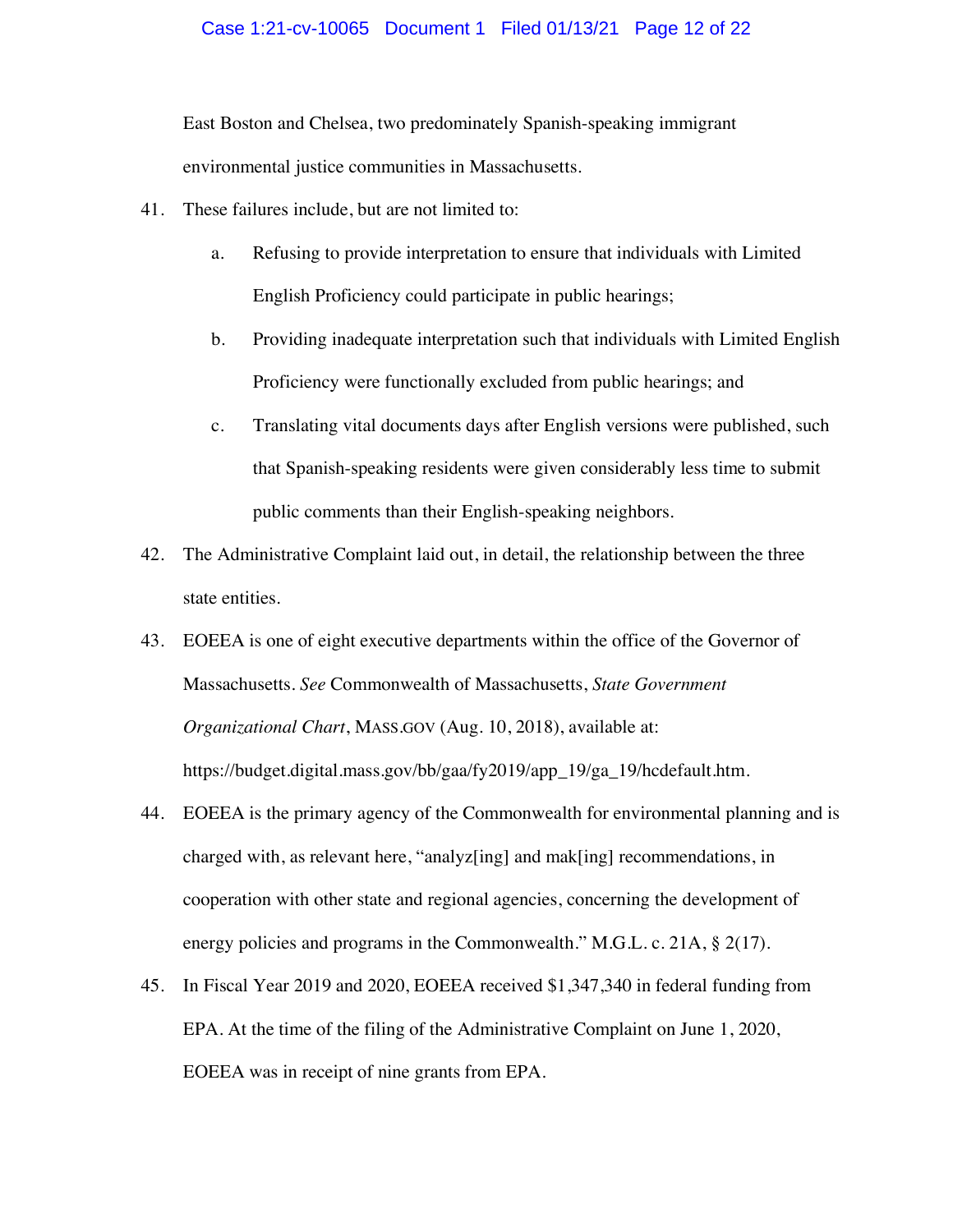#### Case 1:21-cv-10065 Document 1 Filed 01/13/21 Page 12 of 22

East Boston and Chelsea, two predominately Spanish-speaking immigrant environmental justice communities in Massachusetts.

- 41. These failures include, but are not limited to:
	- a. Refusing to provide interpretation to ensure that individuals with Limited English Proficiency could participate in public hearings;
	- b. Providing inadequate interpretation such that individuals with Limited English Proficiency were functionally excluded from public hearings; and
	- c. Translating vital documents days after English versions were published, such that Spanish-speaking residents were given considerably less time to submit public comments than their English-speaking neighbors.
- 42. The Administrative Complaint laid out, in detail, the relationship between the three state entities.
- 43. EOEEA is one of eight executive departments within the office of the Governor of Massachusetts. *See* Commonwealth of Massachusetts, *State Government Organizational Chart*, MASS.GOV (Aug. 10, 2018), available at: https://budget.digital.mass.gov/bb/gaa/fy2019/app\_19/ga\_19/hcdefault.htm.
- 44. EOEEA is the primary agency of the Commonwealth for environmental planning and is charged with, as relevant here, "analyz[ing] and mak[ing] recommendations, in cooperation with other state and regional agencies, concerning the development of energy policies and programs in the Commonwealth." M.G.L. c. 21A, § 2(17).
- 45. In Fiscal Year 2019 and 2020, EOEEA received \$1,347,340 in federal funding from EPA. At the time of the filing of the Administrative Complaint on June 1, 2020, EOEEA was in receipt of nine grants from EPA.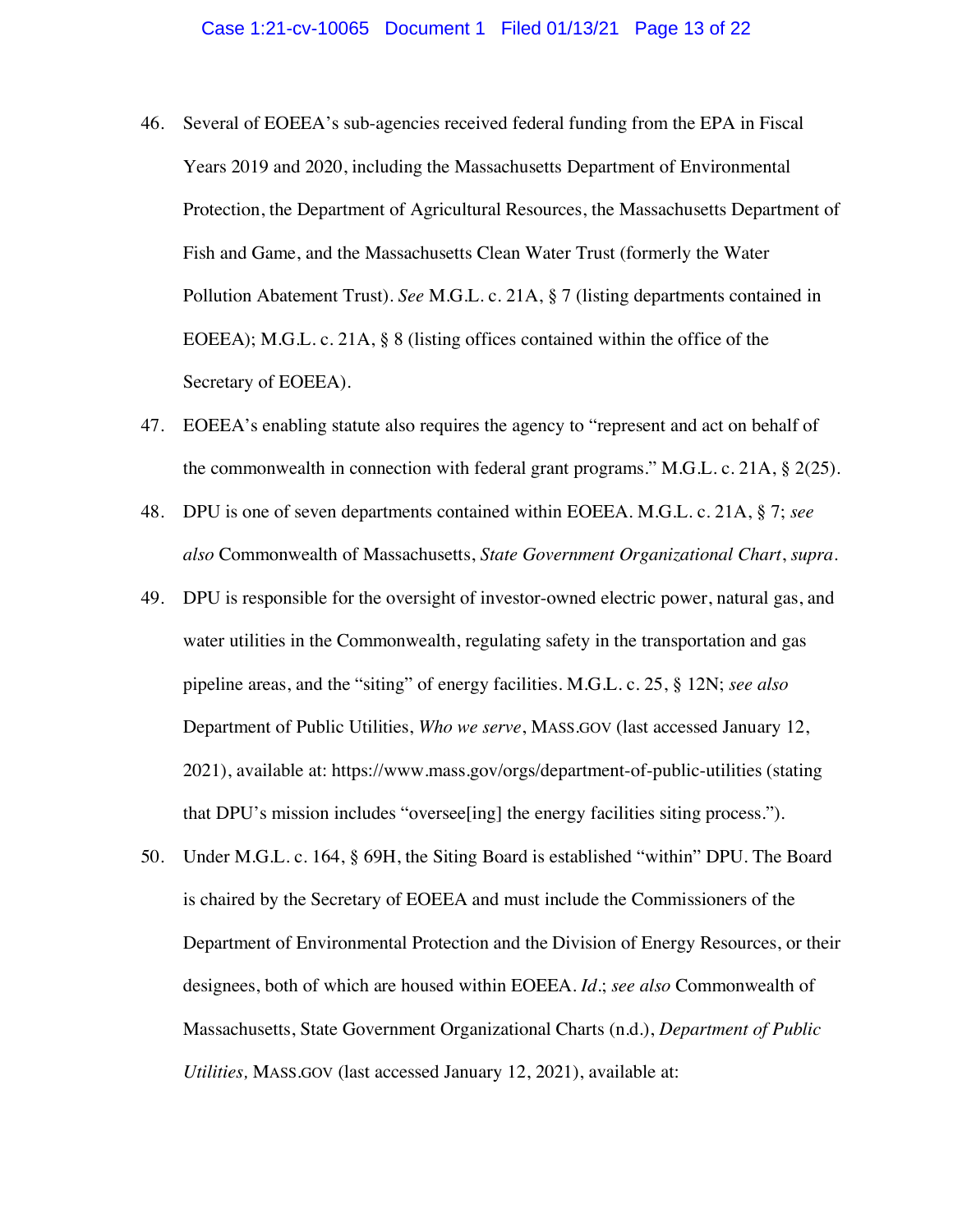- 46. Several of EOEEA's sub-agencies received federal funding from the EPA in Fiscal Years 2019 and 2020, including the Massachusetts Department of Environmental Protection, the Department of Agricultural Resources, the Massachusetts Department of Fish and Game, and the Massachusetts Clean Water Trust (formerly the Water Pollution Abatement Trust). *See* M.G.L. c. 21A, § 7 (listing departments contained in EOEEA); M.G.L. c. 21A, § 8 (listing offices contained within the office of the Secretary of EOEEA).
- 47. EOEEA's enabling statute also requires the agency to "represent and act on behalf of the commonwealth in connection with federal grant programs." M.G.L. c. 21A,  $\S$  2(25).
- 48. DPU is one of seven departments contained within EOEEA. M.G.L. c. 21A, § 7; *see also* Commonwealth of Massachusetts, *State Government Organizational Chart*, *supra*.
- 49. DPU is responsible for the oversight of investor-owned electric power, natural gas, and water utilities in the Commonwealth, regulating safety in the transportation and gas pipeline areas, and the "siting" of energy facilities. M.G.L. c. 25, § 12N; *see also*  Department of Public Utilities, *Who we serve*, MASS.GOV (last accessed January 12, 2021), available at: https://www.mass.gov/orgs/department-of-public-utilities (stating that DPU's mission includes "oversee[ing] the energy facilities siting process.").
- 50. Under M.G.L. c. 164, § 69H, the Siting Board is established "within" DPU. The Board is chaired by the Secretary of EOEEA and must include the Commissioners of the Department of Environmental Protection and the Division of Energy Resources, or their designees, both of which are housed within EOEEA. *Id*.; *see also* Commonwealth of Massachusetts, State Government Organizational Charts (n.d.), *Department of Public Utilities,* MASS.GOV (last accessed January 12, 2021), available at: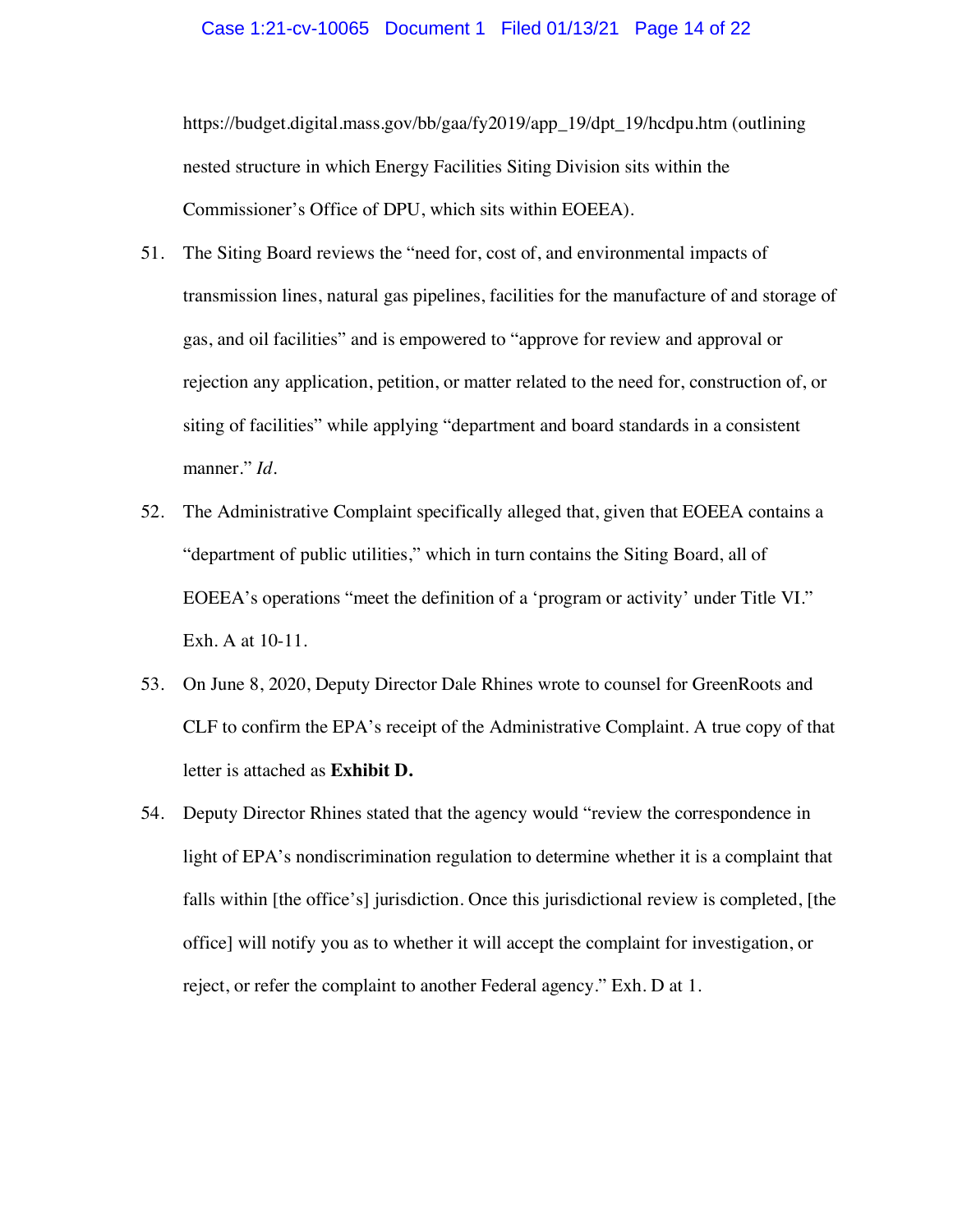#### Case 1:21-cv-10065 Document 1 Filed 01/13/21 Page 14 of 22

https://budget.digital.mass.gov/bb/gaa/fy2019/app\_19/dpt\_19/hcdpu.htm (outlining nested structure in which Energy Facilities Siting Division sits within the Commissioner's Office of DPU, which sits within EOEEA).

- 51. The Siting Board reviews the "need for, cost of, and environmental impacts of transmission lines, natural gas pipelines, facilities for the manufacture of and storage of gas, and oil facilities" and is empowered to "approve for review and approval or rejection any application, petition, or matter related to the need for, construction of, or siting of facilities" while applying "department and board standards in a consistent manner." *Id*.
- 52. The Administrative Complaint specifically alleged that, given that EOEEA contains a "department of public utilities," which in turn contains the Siting Board, all of EOEEA's operations "meet the definition of a 'program or activity' under Title VI." Exh. A at 10-11.
- 53. On June 8, 2020, Deputy Director Dale Rhines wrote to counsel for GreenRoots and CLF to confirm the EPA's receipt of the Administrative Complaint. A true copy of that letter is attached as **Exhibit D.**
- 54. Deputy Director Rhines stated that the agency would "review the correspondence in light of EPA's nondiscrimination regulation to determine whether it is a complaint that falls within [the office's] jurisdiction. Once this jurisdictional review is completed, [the office] will notify you as to whether it will accept the complaint for investigation, or reject, or refer the complaint to another Federal agency." Exh. D at 1.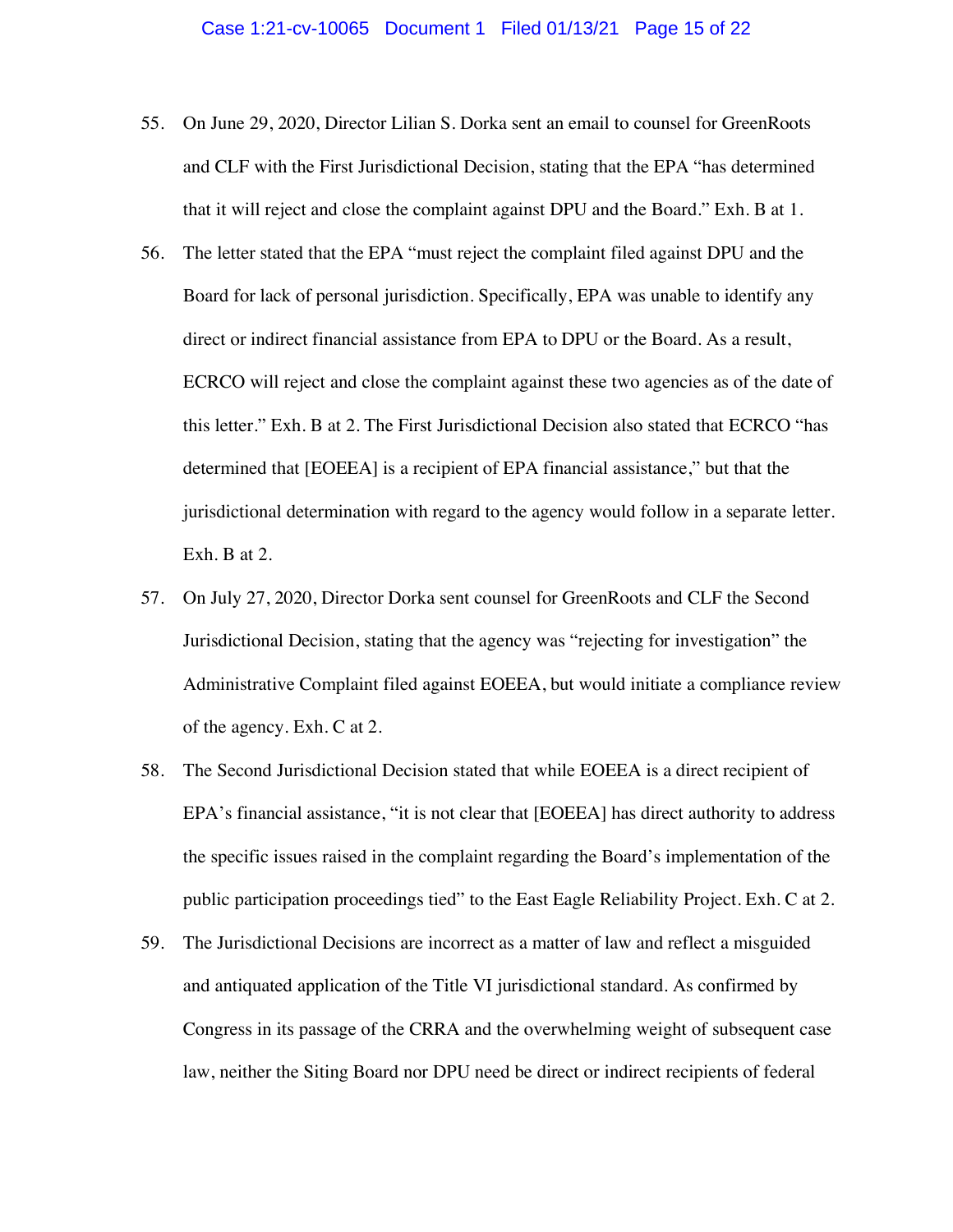- 55. On June 29, 2020, Director Lilian S. Dorka sent an email to counsel for GreenRoots and CLF with the First Jurisdictional Decision, stating that the EPA "has determined that it will reject and close the complaint against DPU and the Board." Exh. B at 1.
- 56. The letter stated that the EPA "must reject the complaint filed against DPU and the Board for lack of personal jurisdiction. Specifically, EPA was unable to identify any direct or indirect financial assistance from EPA to DPU or the Board. As a result, ECRCO will reject and close the complaint against these two agencies as of the date of this letter." Exh. B at 2. The First Jurisdictional Decision also stated that ECRCO "has determined that [EOEEA] is a recipient of EPA financial assistance," but that the jurisdictional determination with regard to the agency would follow in a separate letter. Exh. B at 2.
- 57. On July 27, 2020, Director Dorka sent counsel for GreenRoots and CLF the Second Jurisdictional Decision, stating that the agency was "rejecting for investigation" the Administrative Complaint filed against EOEEA, but would initiate a compliance review of the agency. Exh. C at 2.
- 58. The Second Jurisdictional Decision stated that while EOEEA is a direct recipient of EPA's financial assistance, "it is not clear that [EOEEA] has direct authority to address the specific issues raised in the complaint regarding the Board's implementation of the public participation proceedings tied" to the East Eagle Reliability Project. Exh. C at 2.
- 59. The Jurisdictional Decisions are incorrect as a matter of law and reflect a misguided and antiquated application of the Title VI jurisdictional standard. As confirmed by Congress in its passage of the CRRA and the overwhelming weight of subsequent case law, neither the Siting Board nor DPU need be direct or indirect recipients of federal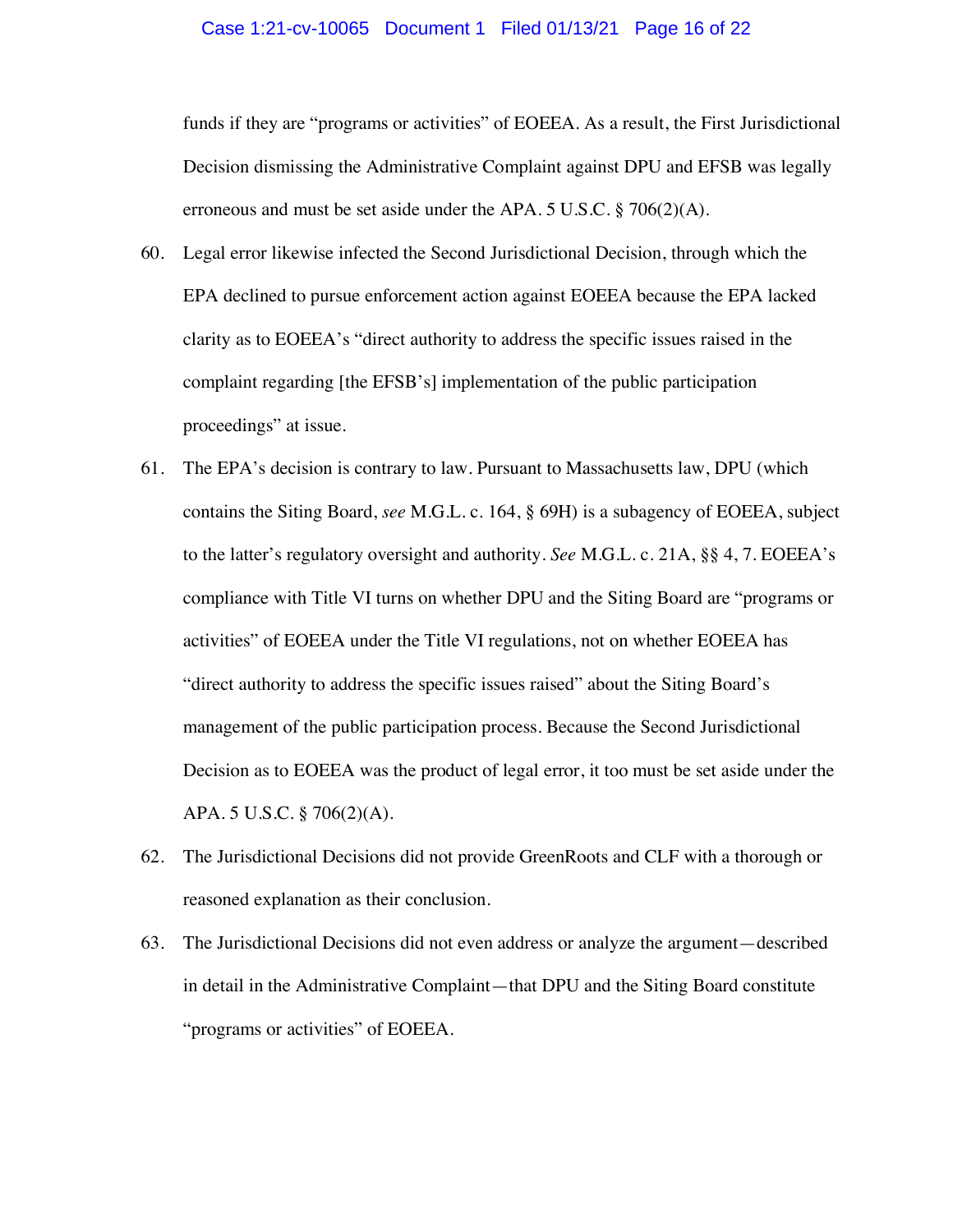#### Case 1:21-cv-10065 Document 1 Filed 01/13/21 Page 16 of 22

funds if they are "programs or activities" of EOEEA. As a result, the First Jurisdictional Decision dismissing the Administrative Complaint against DPU and EFSB was legally erroneous and must be set aside under the APA.  $5 \text{ U.S.C.} \$   $706(2)(\text{A})$ .

- 60. Legal error likewise infected the Second Jurisdictional Decision, through which the EPA declined to pursue enforcement action against EOEEA because the EPA lacked clarity as to EOEEA's "direct authority to address the specific issues raised in the complaint regarding [the EFSB's] implementation of the public participation proceedings" at issue.
- 61. The EPA's decision is contrary to law. Pursuant to Massachusetts law, DPU (which contains the Siting Board, *see* M.G.L. c. 164, § 69H) is a subagency of EOEEA, subject to the latter's regulatory oversight and authority. *See* M.G.L. c. 21A, §§ 4, 7. EOEEA's compliance with Title VI turns on whether DPU and the Siting Board are "programs or activities" of EOEEA under the Title VI regulations, not on whether EOEEA has "direct authority to address the specific issues raised" about the Siting Board's management of the public participation process. Because the Second Jurisdictional Decision as to EOEEA was the product of legal error, it too must be set aside under the APA. 5 U.S.C. § 706(2)(A).
- 62. The Jurisdictional Decisions did not provide GreenRoots and CLF with a thorough or reasoned explanation as their conclusion.
- 63. The Jurisdictional Decisions did not even address or analyze the argument—described in detail in the Administrative Complaint—that DPU and the Siting Board constitute "programs or activities" of EOEEA.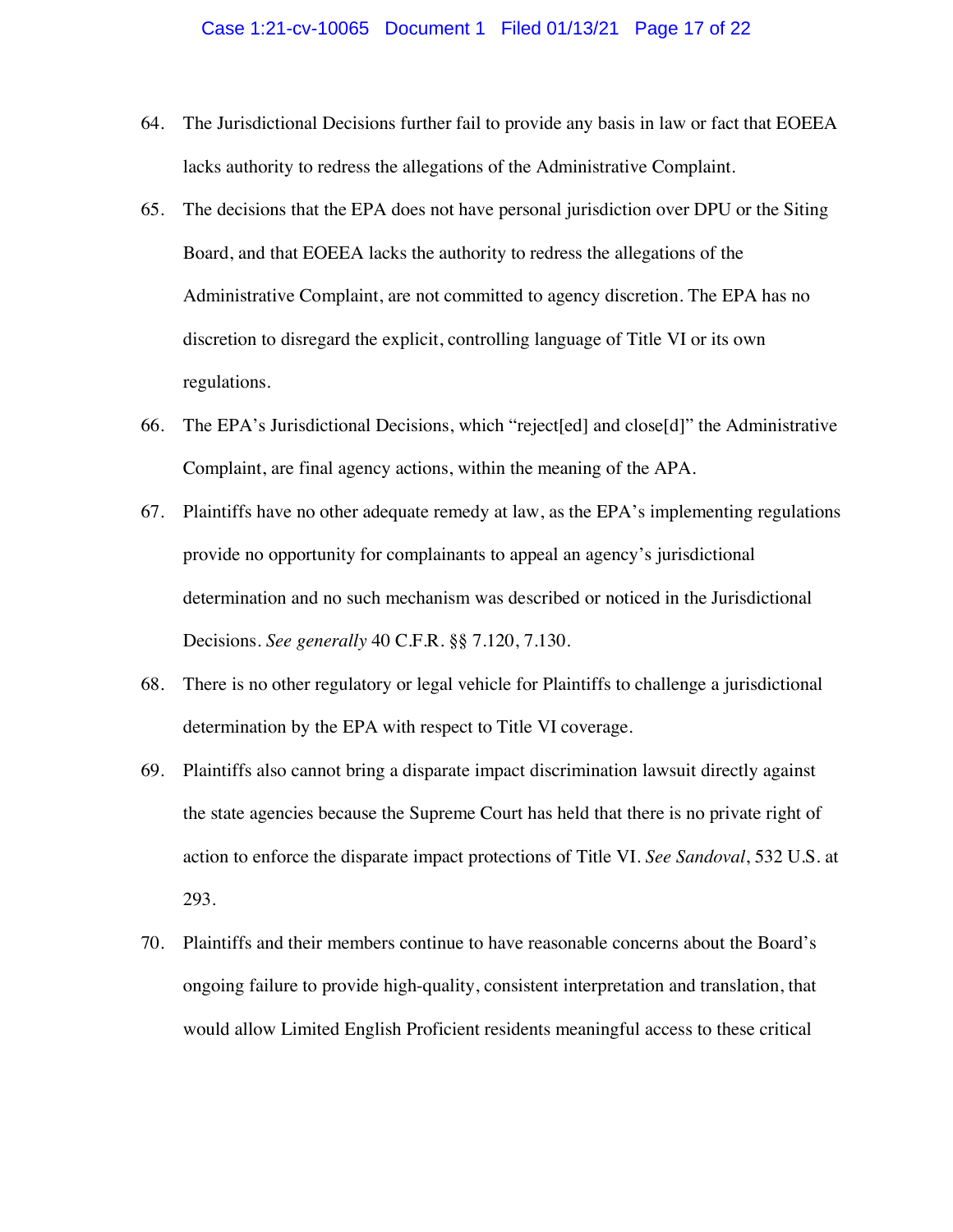- 64. The Jurisdictional Decisions further fail to provide any basis in law or fact that EOEEA lacks authority to redress the allegations of the Administrative Complaint.
- 65. The decisions that the EPA does not have personal jurisdiction over DPU or the Siting Board, and that EOEEA lacks the authority to redress the allegations of the Administrative Complaint, are not committed to agency discretion. The EPA has no discretion to disregard the explicit, controlling language of Title VI or its own regulations.
- 66. The EPA's Jurisdictional Decisions, which "reject[ed] and close[d]" the Administrative Complaint, are final agency actions, within the meaning of the APA.
- 67. Plaintiffs have no other adequate remedy at law, as the EPA's implementing regulations provide no opportunity for complainants to appeal an agency's jurisdictional determination and no such mechanism was described or noticed in the Jurisdictional Decisions. *See generally* 40 C.F.R. §§ 7.120, 7.130.
- 68. There is no other regulatory or legal vehicle for Plaintiffs to challenge a jurisdictional determination by the EPA with respect to Title VI coverage.
- 69. Plaintiffs also cannot bring a disparate impact discrimination lawsuit directly against the state agencies because the Supreme Court has held that there is no private right of action to enforce the disparate impact protections of Title VI. *See Sandoval*, 532 U.S. at 293.
- 70. Plaintiffs and their members continue to have reasonable concerns about the Board's ongoing failure to provide high-quality, consistent interpretation and translation, that would allow Limited English Proficient residents meaningful access to these critical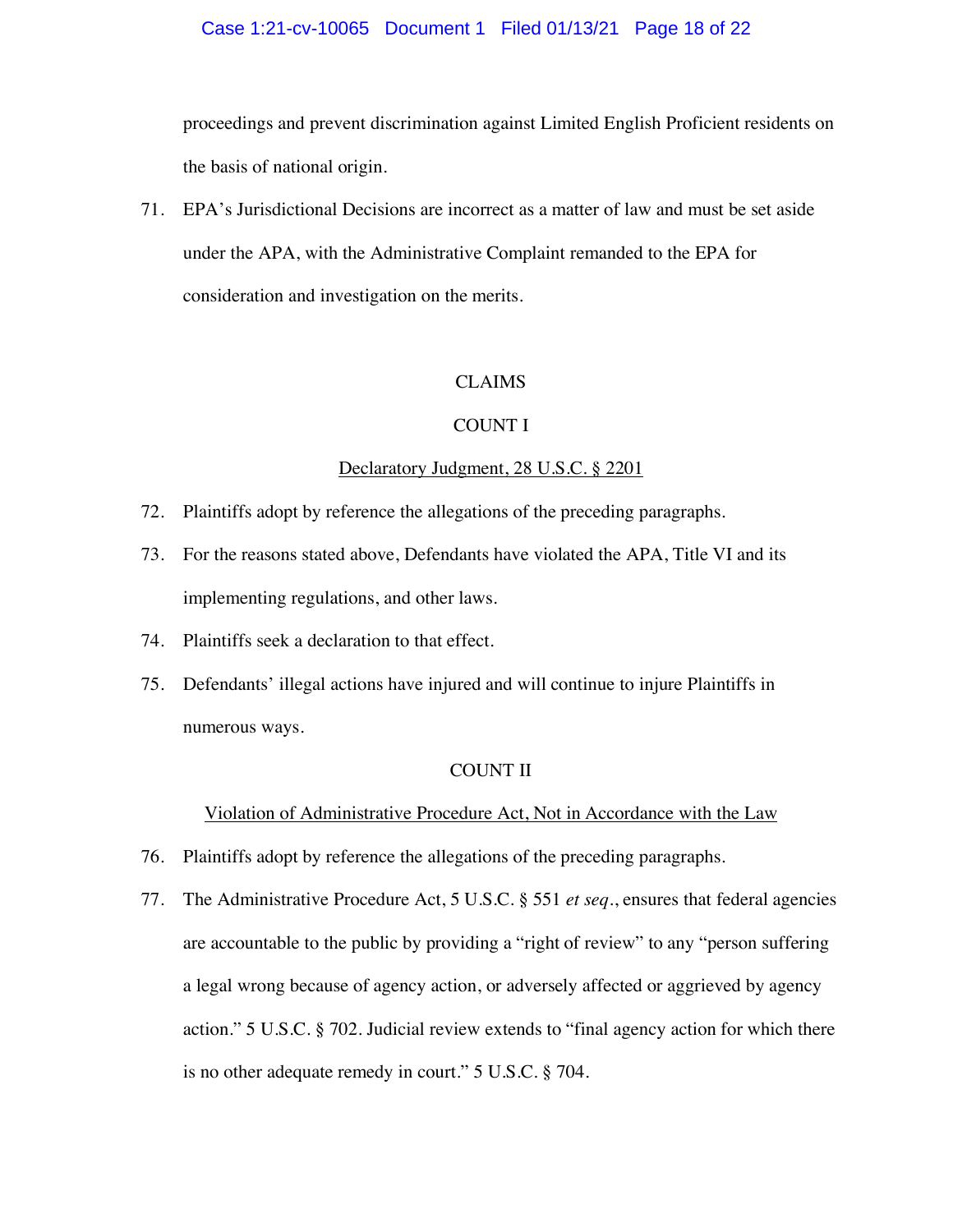#### Case 1:21-cv-10065 Document 1 Filed 01/13/21 Page 18 of 22

proceedings and prevent discrimination against Limited English Proficient residents on the basis of national origin.

71. EPA's Jurisdictional Decisions are incorrect as a matter of law and must be set aside under the APA, with the Administrative Complaint remanded to the EPA for consideration and investigation on the merits.

#### CLAIMS

#### COUNT I

#### Declaratory Judgment, 28 U.S.C. § 2201

- 72. Plaintiffs adopt by reference the allegations of the preceding paragraphs.
- 73. For the reasons stated above, Defendants have violated the APA, Title VI and its implementing regulations, and other laws.
- 74. Plaintiffs seek a declaration to that effect.
- 75. Defendants' illegal actions have injured and will continue to injure Plaintiffs in numerous ways.

#### COUNT II

### Violation of Administrative Procedure Act, Not in Accordance with the Law

- 76. Plaintiffs adopt by reference the allegations of the preceding paragraphs.
- 77. The Administrative Procedure Act, 5 U.S.C. § 551 *et seq.*, ensures that federal agencies are accountable to the public by providing a "right of review" to any "person suffering a legal wrong because of agency action, or adversely affected or aggrieved by agency action." 5 U.S.C. § 702. Judicial review extends to "final agency action for which there is no other adequate remedy in court." 5 U.S.C. § 704.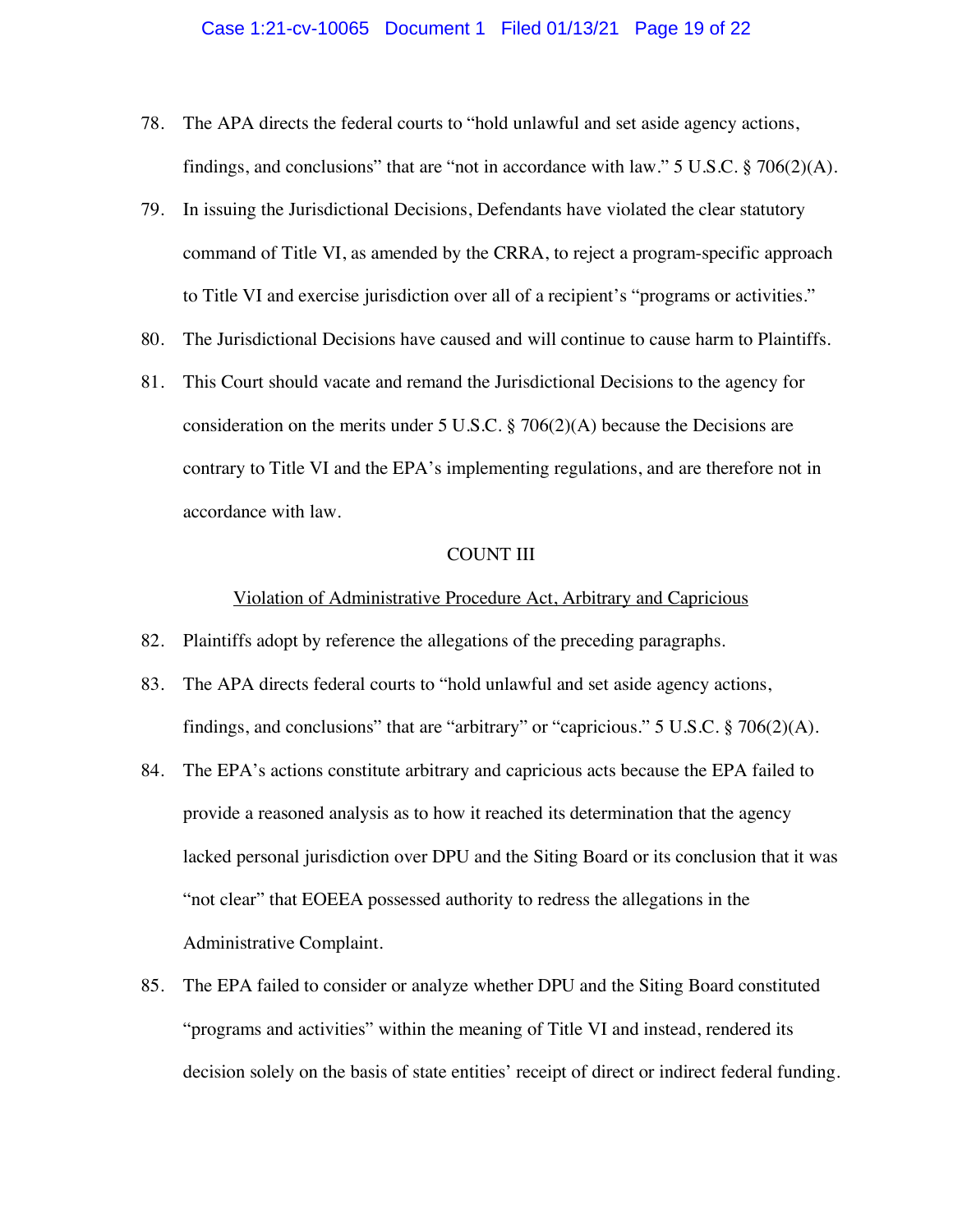#### Case 1:21-cv-10065 Document 1 Filed 01/13/21 Page 19 of 22

- 78. The APA directs the federal courts to "hold unlawful and set aside agency actions, findings, and conclusions" that are "not in accordance with law."  $5 \text{ U.S.C.} \$   $706(2)(\text{A})$ .
- 79. In issuing the Jurisdictional Decisions, Defendants have violated the clear statutory command of Title VI, as amended by the CRRA, to reject a program-specific approach to Title VI and exercise jurisdiction over all of a recipient's "programs or activities."
- 80. The Jurisdictional Decisions have caused and will continue to cause harm to Plaintiffs.
- 81. This Court should vacate and remand the Jurisdictional Decisions to the agency for consideration on the merits under 5 U.S.C.  $\S 706(2)(A)$  because the Decisions are contrary to Title VI and the EPA's implementing regulations, and are therefore not in accordance with law.

#### COUNT III

#### Violation of Administrative Procedure Act, Arbitrary and Capricious

- 82. Plaintiffs adopt by reference the allegations of the preceding paragraphs.
- 83. The APA directs federal courts to "hold unlawful and set aside agency actions, findings, and conclusions" that are "arbitrary" or "capricious."  $5 \text{ U.S.C.}$   $\S$   $706(2)(\text{A})$ .
- 84. The EPA's actions constitute arbitrary and capricious acts because the EPA failed to provide a reasoned analysis as to how it reached its determination that the agency lacked personal jurisdiction over DPU and the Siting Board or its conclusion that it was "not clear" that EOEEA possessed authority to redress the allegations in the Administrative Complaint.
- 85. The EPA failed to consider or analyze whether DPU and the Siting Board constituted "programs and activities" within the meaning of Title VI and instead, rendered its decision solely on the basis of state entities' receipt of direct or indirect federal funding.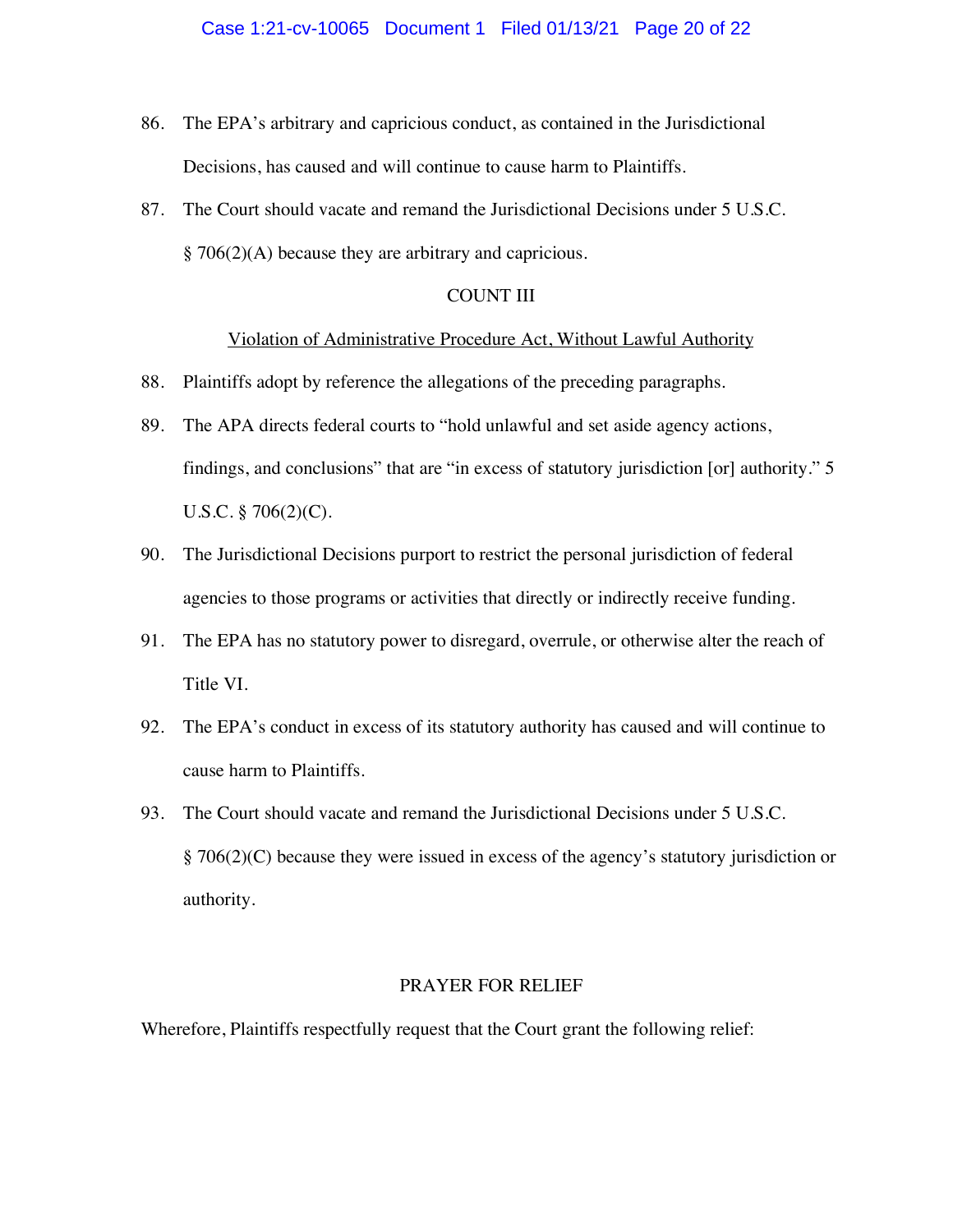- 86. The EPA's arbitrary and capricious conduct, as contained in the Jurisdictional Decisions, has caused and will continue to cause harm to Plaintiffs.
- 87. The Court should vacate and remand the Jurisdictional Decisions under 5 U.S.C. § 706(2)(A) because they are arbitrary and capricious.

#### COUNT III

#### Violation of Administrative Procedure Act, Without Lawful Authority

- 88. Plaintiffs adopt by reference the allegations of the preceding paragraphs.
- 89. The APA directs federal courts to "hold unlawful and set aside agency actions, findings, and conclusions" that are "in excess of statutory jurisdiction [or] authority." 5 U.S.C. § 706(2)(C).
- 90. The Jurisdictional Decisions purport to restrict the personal jurisdiction of federal agencies to those programs or activities that directly or indirectly receive funding.
- 91. The EPA has no statutory power to disregard, overrule, or otherwise alter the reach of Title VI.
- 92. The EPA's conduct in excess of its statutory authority has caused and will continue to cause harm to Plaintiffs.
- 93. The Court should vacate and remand the Jurisdictional Decisions under 5 U.S.C. § 706(2)(C) because they were issued in excess of the agency's statutory jurisdiction or authority.

### PRAYER FOR RELIEF

Wherefore, Plaintiffs respectfully request that the Court grant the following relief: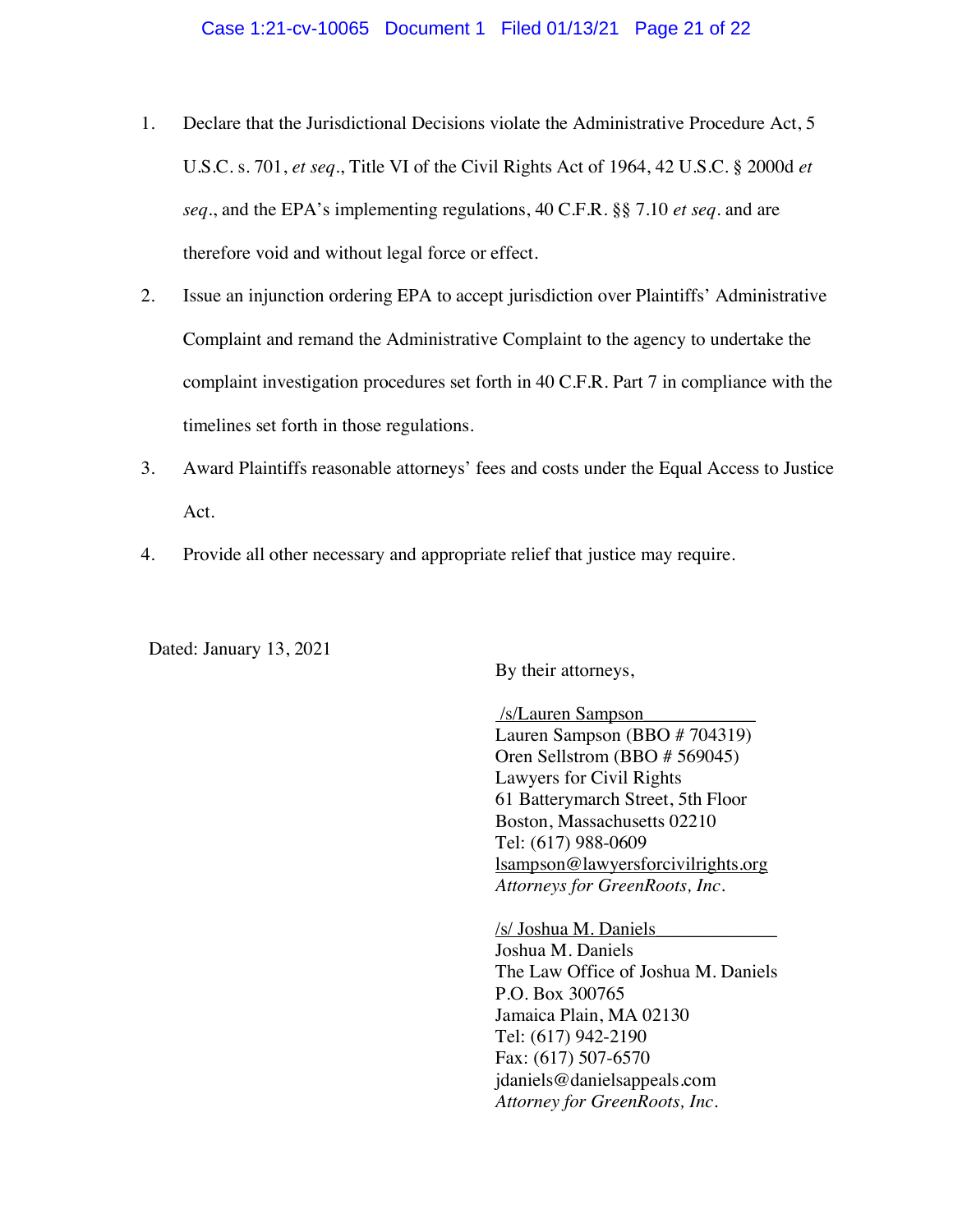- 1. Declare that the Jurisdictional Decisions violate the Administrative Procedure Act, 5 U.S.C. s. 701, *et seq*., Title VI of the Civil Rights Act of 1964, 42 U.S.C. § 2000d *et seq*., and the EPA's implementing regulations, 40 C.F.R. §§ 7.10 *et seq*. and are therefore void and without legal force or effect.
- 2. Issue an injunction ordering EPA to accept jurisdiction over Plaintiffs' Administrative Complaint and remand the Administrative Complaint to the agency to undertake the complaint investigation procedures set forth in 40 C.F.R. Part 7 in compliance with the timelines set forth in those regulations.
- 3. Award Plaintiffs reasonable attorneys' fees and costs under the Equal Access to Justice Act.
- 4. Provide all other necessary and appropriate relief that justice may require.

Dated: January 13, 2021

By their attorneys,

/s/Lauren Sampson\_\_\_\_\_\_\_\_\_\_\_\_ Lauren Sampson (BBO # 704319) Oren Sellstrom (BBO # 569045) Lawyers for Civil Rights 61 Batterymarch Street, 5th Floor Boston, Massachusetts 02210 Tel: (617) 988-0609 lsampson@lawyersforcivilrights.org *Attorneys for GreenRoots, Inc.*

/s/ Joshua M. Daniels\_\_\_\_\_\_\_\_\_\_\_\_\_ Joshua M. Daniels The Law Office of Joshua M. Daniels P.O. Box 300765 Jamaica Plain, MA 02130 Tel: (617) 942-2190 Fax: (617) 507-6570 jdaniels@danielsappeals.com *Attorney for GreenRoots, Inc.*